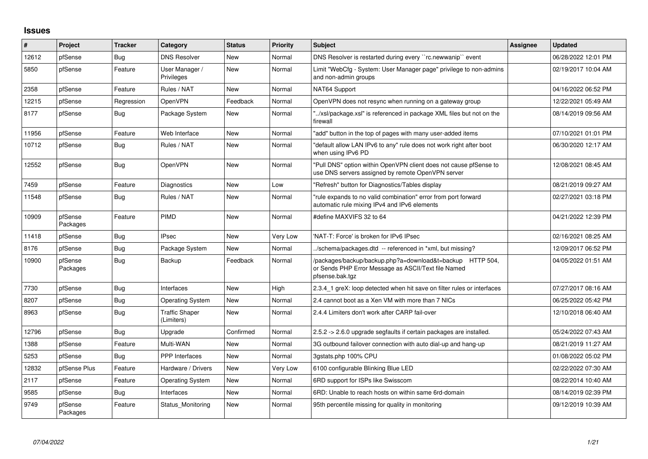## **Issues**

| ∦     | Project             | Tracker    | Category                            | <b>Status</b> | <b>Priority</b> | <b>Subject</b>                                                                                                                      | Assignee | Updated             |
|-------|---------------------|------------|-------------------------------------|---------------|-----------------|-------------------------------------------------------------------------------------------------------------------------------------|----------|---------------------|
| 12612 | pfSense             | Bug        | <b>DNS Resolver</b>                 | <b>New</b>    | Normal          | DNS Resolver is restarted during every "rc.newwanip" event                                                                          |          | 06/28/2022 12:01 PM |
| 5850  | pfSense             | Feature    | User Manager /<br>Privileges        | New           | Normal          | Limit "WebCfg - System: User Manager page" privilege to non-admins<br>and non-admin groups                                          |          | 02/19/2017 10:04 AM |
| 2358  | pfSense             | Feature    | Rules / NAT                         | New           | Normal          | NAT64 Support                                                                                                                       |          | 04/16/2022 06:52 PM |
| 12215 | pfSense             | Regression | OpenVPN                             | Feedback      | Normal          | OpenVPN does not resync when running on a gateway group                                                                             |          | 12/22/2021 05:49 AM |
| 8177  | pfSense             | Bug        | Package System                      | New           | Normal          | "/xsl/package.xsl" is referenced in package XML files but not on the<br>firewall                                                    |          | 08/14/2019 09:56 AM |
| 11956 | pfSense             | Feature    | Web Interface                       | <b>New</b>    | Normal          | 'add" button in the top of pages with many user-added items                                                                         |          | 07/10/2021 01:01 PM |
| 10712 | pfSense             | Bug        | Rules / NAT                         | New           | Normal          | "default allow LAN IPv6 to any" rule does not work right after boot<br>when using IPv6 PD                                           |          | 06/30/2020 12:17 AM |
| 12552 | pfSense             | Bug        | <b>OpenVPN</b>                      | New           | Normal          | "Pull DNS" option within OpenVPN client does not cause pfSense to<br>use DNS servers assigned by remote OpenVPN server              |          | 12/08/2021 08:45 AM |
| 7459  | pfSense             | Feature    | Diagnostics                         | <b>New</b>    | Low             | "Refresh" button for Diagnostics/Tables display                                                                                     |          | 08/21/2019 09:27 AM |
| 11548 | pfSense             | Bug        | Rules / NAT                         | New           | Normal          | "rule expands to no valid combination" error from port forward<br>automatic rule mixing IPv4 and IPv6 elements                      |          | 02/27/2021 03:18 PM |
| 10909 | pfSense<br>Packages | Feature    | PIMD                                | <b>New</b>    | Normal          | #define MAXVIFS 32 to 64                                                                                                            |          | 04/21/2022 12:39 PM |
| 11418 | pfSense             | Bug        | <b>IPsec</b>                        | <b>New</b>    | Very Low        | 'NAT-T: Force' is broken for IPv6 IPsec                                                                                             |          | 02/16/2021 08:25 AM |
| 8176  | pfSense             | Bug        | Package System                      | New           | Normal          | /schema/packages.dtd -- referenced in *xml, but missing?                                                                            |          | 12/09/2017 06:52 PM |
| 10900 | pfSense<br>Packages | Bug        | Backup                              | Feedback      | Normal          | /packages/backup/backup.php?a=download&t=backup HTTP 504,<br>or Sends PHP Error Message as ASCII/Text file Named<br>pfsense.bak.tgz |          | 04/05/2022 01:51 AM |
| 7730  | pfSense             | <b>Bug</b> | Interfaces                          | <b>New</b>    | High            | 2.3.4 1 greX: loop detected when hit save on filter rules or interfaces                                                             |          | 07/27/2017 08:16 AM |
| 8207  | pfSense             | <b>Bug</b> | <b>Operating System</b>             | New           | Normal          | 2.4 cannot boot as a Xen VM with more than 7 NICs                                                                                   |          | 06/25/2022 05:42 PM |
| 8963  | pfSense             | <b>Bug</b> | <b>Traffic Shaper</b><br>(Limiters) | <b>New</b>    | Normal          | 2.4.4 Limiters don't work after CARP fail-over                                                                                      |          | 12/10/2018 06:40 AM |
| 12796 | pfSense             | Bug        | Upgrade                             | Confirmed     | Normal          | 2.5.2 -> 2.6.0 upgrade segfaults if certain packages are installed.                                                                 |          | 05/24/2022 07:43 AM |
| 1388  | pfSense             | Feature    | Multi-WAN                           | New           | Normal          | 3G outbound failover connection with auto dial-up and hang-up                                                                       |          | 08/21/2019 11:27 AM |
| 5253  | pfSense             | <b>Bug</b> | <b>PPP</b> Interfaces               | <b>New</b>    | Normal          | 3gstats.php 100% CPU                                                                                                                |          | 01/08/2022 05:02 PM |
| 12832 | pfSense Plus        | Feature    | Hardware / Drivers                  | New           | Very Low        | 6100 configurable Blinking Blue LED                                                                                                 |          | 02/22/2022 07:30 AM |
| 2117  | pfSense             | Feature    | <b>Operating System</b>             | New           | Normal          | 6RD support for ISPs like Swisscom                                                                                                  |          | 08/22/2014 10:40 AM |
| 9585  | pfSense             | Bug        | Interfaces                          | New           | Normal          | 6RD: Unable to reach hosts on within same 6rd-domain                                                                                |          | 08/14/2019 02:39 PM |
| 9749  | pfSense<br>Packages | Feature    | Status_Monitoring                   | New           | Normal          | 95th percentile missing for quality in monitoring                                                                                   |          | 09/12/2019 10:39 AM |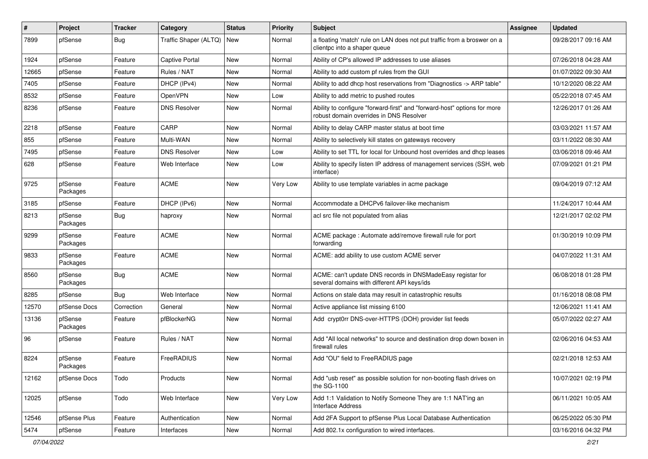| #     | Project             | <b>Tracker</b> | Category              | <b>Status</b> | <b>Priority</b> | <b>Subject</b>                                                                                                      | Assignee | <b>Updated</b>      |
|-------|---------------------|----------------|-----------------------|---------------|-----------------|---------------------------------------------------------------------------------------------------------------------|----------|---------------------|
| 7899  | pfSense             | Bug            | Traffic Shaper (ALTQ) | <b>New</b>    | Normal          | a floating 'match' rule on LAN does not put traffic from a broswer on a<br>clientpc into a shaper queue             |          | 09/28/2017 09:16 AM |
| 1924  | pfSense             | Feature        | <b>Captive Portal</b> | <b>New</b>    | Normal          | Ability of CP's allowed IP addresses to use aliases                                                                 |          | 07/26/2018 04:28 AM |
| 12665 | pfSense             | Feature        | Rules / NAT           | <b>New</b>    | Normal          | Ability to add custom pf rules from the GUI                                                                         |          | 01/07/2022 09:30 AM |
| 7405  | pfSense             | Feature        | DHCP (IPv4)           | <b>New</b>    | Normal          | Ability to add dhcp host reservations from "Diagnostics -> ARP table"                                               |          | 10/12/2020 08:22 AM |
| 8532  | pfSense             | Feature        | <b>OpenVPN</b>        | New           | Low             | Ability to add metric to pushed routes                                                                              |          | 05/22/2018 07:45 AM |
| 8236  | pfSense             | Feature        | <b>DNS Resolver</b>   | New           | Normal          | Ability to configure "forward-first" and "forward-host" options for more<br>robust domain overrides in DNS Resolver |          | 12/26/2017 01:26 AM |
| 2218  | pfSense             | Feature        | CARP                  | <b>New</b>    | Normal          | Ability to delay CARP master status at boot time                                                                    |          | 03/03/2021 11:57 AM |
| 855   | pfSense             | Feature        | Multi-WAN             | <b>New</b>    | Normal          | Ability to selectively kill states on gateways recovery                                                             |          | 03/11/2022 08:30 AM |
| 7495  | pfSense             | Feature        | <b>DNS Resolver</b>   | New           | Low             | Ability to set TTL for local for Unbound host overrides and dhcp leases                                             |          | 03/06/2018 09:46 AM |
| 628   | pfSense             | Feature        | Web Interface         | New           | Low             | Ability to specify listen IP address of management services (SSH, web<br>interface)                                 |          | 07/09/2021 01:21 PM |
| 9725  | pfSense<br>Packages | Feature        | <b>ACME</b>           | <b>New</b>    | Very Low        | Ability to use template variables in acme package                                                                   |          | 09/04/2019 07:12 AM |
| 3185  | pfSense             | Feature        | DHCP (IPv6)           | <b>New</b>    | Normal          | Accommodate a DHCPv6 failover-like mechanism                                                                        |          | 11/24/2017 10:44 AM |
| 8213  | pfSense<br>Packages | Bug            | haproxy               | New           | Normal          | acl src file not populated from alias                                                                               |          | 12/21/2017 02:02 PM |
| 9299  | pfSense<br>Packages | Feature        | <b>ACME</b>           | <b>New</b>    | Normal          | ACME package: Automate add/remove firewall rule for port<br>forwarding                                              |          | 01/30/2019 10:09 PM |
| 9833  | pfSense<br>Packages | Feature        | <b>ACME</b>           | <b>New</b>    | Normal          | ACME: add ability to use custom ACME server                                                                         |          | 04/07/2022 11:31 AM |
| 8560  | pfSense<br>Packages | <b>Bug</b>     | <b>ACME</b>           | <b>New</b>    | Normal          | ACME: can't update DNS records in DNSMadeEasy registar for<br>several domains with different API keys/ids           |          | 06/08/2018 01:28 PM |
| 8285  | pfSense             | Bug            | Web Interface         | <b>New</b>    | Normal          | Actions on stale data may result in catastrophic results                                                            |          | 01/16/2018 08:08 PM |
| 12570 | pfSense Docs        | Correction     | General               | <b>New</b>    | Normal          | Active appliance list missing 6100                                                                                  |          | 12/06/2021 11:41 AM |
| 13136 | pfSense<br>Packages | Feature        | pfBlockerNG           | <b>New</b>    | Normal          | Add crypt0rr DNS-over-HTTPS (DOH) provider list feeds                                                               |          | 05/07/2022 02:27 AM |
| 96    | pfSense             | Feature        | Rules / NAT           | <b>New</b>    | Normal          | Add "All local networks" to source and destination drop down boxen in<br>firewall rules                             |          | 02/06/2016 04:53 AM |
| 8224  | pfSense<br>Packages | Feature        | FreeRADIUS            | <b>New</b>    | Normal          | Add "OU" field to FreeRADIUS page                                                                                   |          | 02/21/2018 12:53 AM |
| 12162 | pfSense Docs        | Todo           | Products              | New           | Normal          | Add "usb reset" as possible solution for non-booting flash drives on<br>the SG-1100                                 |          | 10/07/2021 02:19 PM |
| 12025 | pfSense             | Todo           | Web Interface         | New           | Very Low        | Add 1:1 Validation to Notify Someone They are 1:1 NAT'ing an<br><b>Interface Address</b>                            |          | 06/11/2021 10:05 AM |
| 12546 | pfSense Plus        | Feature        | Authentication        | New           | Normal          | Add 2FA Support to pfSense Plus Local Database Authentication                                                       |          | 06/25/2022 05:30 PM |
| 5474  | pfSense             | Feature        | Interfaces            | New           | Normal          | Add 802.1x configuration to wired interfaces.                                                                       |          | 03/16/2016 04:32 PM |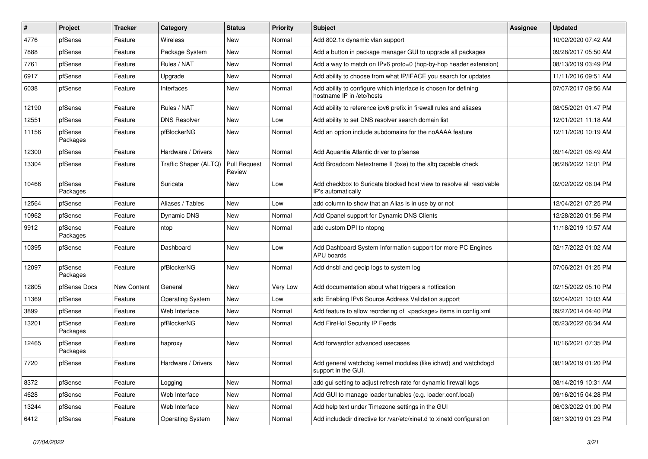| $\vert$ # | Project             | <b>Tracker</b> | Category                | <b>Status</b>                 | <b>Priority</b> | Subject                                                                                      | <b>Assignee</b> | <b>Updated</b>      |
|-----------|---------------------|----------------|-------------------------|-------------------------------|-----------------|----------------------------------------------------------------------------------------------|-----------------|---------------------|
| 4776      | pfSense             | Feature        | Wireless                | New                           | Normal          | Add 802.1x dynamic vlan support                                                              |                 | 10/02/2020 07:42 AM |
| 7888      | pfSense             | Feature        | Package System          | <b>New</b>                    | Normal          | Add a button in package manager GUI to upgrade all packages                                  |                 | 09/28/2017 05:50 AM |
| 7761      | pfSense             | Feature        | Rules / NAT             | New                           | Normal          | Add a way to match on IPv6 proto=0 (hop-by-hop header extension)                             |                 | 08/13/2019 03:49 PM |
| 6917      | pfSense             | Feature        | Upgrade                 | <b>New</b>                    | Normal          | Add ability to choose from what IP/IFACE you search for updates                              |                 | 11/11/2016 09:51 AM |
| 6038      | pfSense             | Feature        | Interfaces              | New                           | Normal          | Add ability to configure which interface is chosen for defining<br>hostname IP in /etc/hosts |                 | 07/07/2017 09:56 AM |
| 12190     | pfSense             | Feature        | Rules / NAT             | <b>New</b>                    | Normal          | Add ability to reference ipv6 prefix in firewall rules and aliases                           |                 | 08/05/2021 01:47 PM |
| 12551     | pfSense             | Feature        | <b>DNS Resolver</b>     | <b>New</b>                    | Low             | Add ability to set DNS resolver search domain list                                           |                 | 12/01/2021 11:18 AM |
| 11156     | pfSense<br>Packages | Feature        | pfBlockerNG             | <b>New</b>                    | Normal          | Add an option include subdomains for the noAAAA feature                                      |                 | 12/11/2020 10:19 AM |
| 12300     | pfSense             | Feature        | Hardware / Drivers      | New                           | Normal          | Add Aquantia Atlantic driver to pfsense                                                      |                 | 09/14/2021 06:49 AM |
| 13304     | pfSense             | Feature        | Traffic Shaper (ALTQ)   | <b>Pull Request</b><br>Review | Normal          | Add Broadcom Netextreme II (bxe) to the altq capable check                                   |                 | 06/28/2022 12:01 PM |
| 10466     | pfSense<br>Packages | Feature        | Suricata                | New                           | Low             | Add checkbox to Suricata blocked host view to resolve all resolvable<br>IP's automatically   |                 | 02/02/2022 06:04 PM |
| 12564     | pfSense             | Feature        | Aliases / Tables        | New                           | Low             | add column to show that an Alias is in use by or not                                         |                 | 12/04/2021 07:25 PM |
| 10962     | pfSense             | Feature        | Dynamic DNS             | New                           | Normal          | Add Cpanel support for Dynamic DNS Clients                                                   |                 | 12/28/2020 01:56 PM |
| 9912      | pfSense<br>Packages | Feature        | ntop                    | New                           | Normal          | add custom DPI to ntopng                                                                     |                 | 11/18/2019 10:57 AM |
| 10395     | pfSense             | Feature        | Dashboard               | <b>New</b>                    | Low             | Add Dashboard System Information support for more PC Engines<br>APU boards                   |                 | 02/17/2022 01:02 AM |
| 12097     | pfSense<br>Packages | Feature        | pfBlockerNG             | <b>New</b>                    | Normal          | Add dnsbl and geoip logs to system log                                                       |                 | 07/06/2021 01:25 PM |
| 12805     | pfSense Docs        | New Content    | General                 | New                           | Very Low        | Add documentation about what triggers a notfication                                          |                 | 02/15/2022 05:10 PM |
| 11369     | pfSense             | Feature        | <b>Operating System</b> | New                           | Low             | add Enabling IPv6 Source Address Validation support                                          |                 | 02/04/2021 10:03 AM |
| 3899      | pfSense             | Feature        | Web Interface           | New                           | Normal          | Add feature to allow reordering of <package> items in config.xml</package>                   |                 | 09/27/2014 04:40 PM |
| 13201     | pfSense<br>Packages | Feature        | pfBlockerNG             | New                           | Normal          | Add FireHol Security IP Feeds                                                                |                 | 05/23/2022 06:34 AM |
| 12465     | pfSense<br>Packages | Feature        | haproxy                 | <b>New</b>                    | Normal          | Add forwardfor advanced usecases                                                             |                 | 10/16/2021 07:35 PM |
| 7720      | pfSense             | Feature        | Hardware / Drivers      | <b>New</b>                    | Normal          | Add general watchdog kernel modules (like ichwd) and watchdogd<br>support in the GUI.        |                 | 08/19/2019 01:20 PM |
| 8372      | pfSense             | Feature        | Logging                 | New                           | Normal          | add gui setting to adjust refresh rate for dynamic firewall logs                             |                 | 08/14/2019 10:31 AM |
| 4628      | pfSense             | Feature        | Web Interface           | New                           | Normal          | Add GUI to manage loader tunables (e.g. loader.conf.local)                                   |                 | 09/16/2015 04:28 PM |
| 13244     | pfSense             | Feature        | Web Interface           | New                           | Normal          | Add help text under Timezone settings in the GUI                                             |                 | 06/03/2022 01:00 PM |
| 6412      | pfSense             | Feature        | <b>Operating System</b> | New                           | Normal          | Add includedir directive for /var/etc/xinet.d to xinetd configuration                        |                 | 08/13/2019 01:23 PM |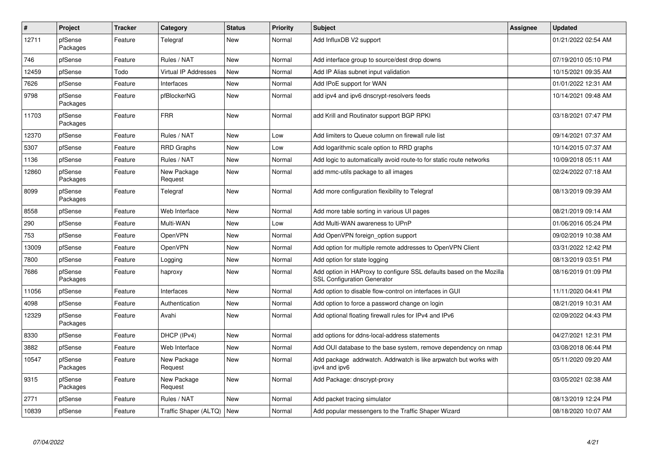| $\pmb{\#}$ | <b>Project</b>      | <b>Tracker</b> | Category                    | <b>Status</b> | <b>Priority</b> | <b>Subject</b>                                                                                             | <b>Assignee</b> | <b>Updated</b>      |
|------------|---------------------|----------------|-----------------------------|---------------|-----------------|------------------------------------------------------------------------------------------------------------|-----------------|---------------------|
| 12711      | pfSense<br>Packages | Feature        | Telegraf                    | New           | Normal          | Add InfluxDB V2 support                                                                                    |                 | 01/21/2022 02:54 AM |
| 746        | pfSense             | Feature        | Rules / NAT                 | New           | Normal          | Add interface group to source/dest drop downs                                                              |                 | 07/19/2010 05:10 PM |
| 12459      | pfSense             | Todo           | <b>Virtual IP Addresses</b> | New           | Normal          | Add IP Alias subnet input validation                                                                       |                 | 10/15/2021 09:35 AM |
| 7626       | pfSense             | Feature        | Interfaces                  | New           | Normal          | Add IPoE support for WAN                                                                                   |                 | 01/01/2022 12:31 AM |
| 9798       | pfSense<br>Packages | Feature        | pfBlockerNG                 | <b>New</b>    | Normal          | add ipv4 and ipv6 dnscrypt-resolvers feeds                                                                 |                 | 10/14/2021 09:48 AM |
| 11703      | pfSense<br>Packages | Feature        | <b>FRR</b>                  | New           | Normal          | add Krill and Routinator support BGP RPKI                                                                  |                 | 03/18/2021 07:47 PM |
| 12370      | pfSense             | Feature        | Rules / NAT                 | New           | Low             | Add limiters to Queue column on firewall rule list                                                         |                 | 09/14/2021 07:37 AM |
| 5307       | pfSense             | Feature        | <b>RRD Graphs</b>           | New           | Low             | Add logarithmic scale option to RRD graphs                                                                 |                 | 10/14/2015 07:37 AM |
| 1136       | pfSense             | Feature        | Rules / NAT                 | New           | Normal          | Add logic to automatically avoid route-to for static route networks                                        |                 | 10/09/2018 05:11 AM |
| 12860      | pfSense<br>Packages | Feature        | New Package<br>Request      | New           | Normal          | add mmc-utils package to all images                                                                        |                 | 02/24/2022 07:18 AM |
| 8099       | pfSense<br>Packages | Feature        | Telegraf                    | <b>New</b>    | Normal          | Add more configuration flexibility to Telegraf                                                             |                 | 08/13/2019 09:39 AM |
| 8558       | pfSense             | Feature        | Web Interface               | New           | Normal          | Add more table sorting in various UI pages                                                                 |                 | 08/21/2019 09:14 AM |
| 290        | pfSense             | Feature        | Multi-WAN                   | <b>New</b>    | Low             | Add Multi-WAN awareness to UPnP                                                                            |                 | 01/06/2016 05:24 PM |
| 753        | pfSense             | Feature        | <b>OpenVPN</b>              | New           | Normal          | Add OpenVPN foreign_option support                                                                         |                 | 09/02/2019 10:38 AM |
| 13009      | pfSense             | Feature        | OpenVPN                     | New           | Normal          | Add option for multiple remote addresses to OpenVPN Client                                                 |                 | 03/31/2022 12:42 PM |
| 7800       | pfSense             | Feature        | Logging                     | <b>New</b>    | Normal          | Add option for state logging                                                                               |                 | 08/13/2019 03:51 PM |
| 7686       | pfSense<br>Packages | Feature        | haproxy                     | New           | Normal          | Add option in HAProxy to configure SSL defaults based on the Mozilla<br><b>SSL Configuration Generator</b> |                 | 08/16/2019 01:09 PM |
| 11056      | pfSense             | Feature        | Interfaces                  | <b>New</b>    | Normal          | Add option to disable flow-control on interfaces in GUI                                                    |                 | 11/11/2020 04:41 PM |
| 4098       | pfSense             | Feature        | Authentication              | <b>New</b>    | Normal          | Add option to force a password change on login                                                             |                 | 08/21/2019 10:31 AM |
| 12329      | pfSense<br>Packages | Feature        | Avahi                       | <b>New</b>    | Normal          | Add optional floating firewall rules for IPv4 and IPv6                                                     |                 | 02/09/2022 04:43 PM |
| 8330       | pfSense             | Feature        | DHCP (IPv4)                 | <b>New</b>    | Normal          | add options for ddns-local-address statements                                                              |                 | 04/27/2021 12:31 PM |
| 3882       | pfSense             | Feature        | Web Interface               | New           | Normal          | Add OUI database to the base system, remove dependency on nmap                                             |                 | 03/08/2018 06:44 PM |
| 10547      | pfSense<br>Packages | Feature        | New Package<br>Request      | New           | Normal          | Add package addrwatch. Addrwatch is like arpwatch but works with<br>ipv4 and ipv6                          |                 | 05/11/2020 09:20 AM |
| 9315       | pfSense<br>Packages | Feature        | New Package<br>Request      | New           | Normal          | Add Package: dnscrypt-proxy                                                                                |                 | 03/05/2021 02:38 AM |
| 2771       | pfSense             | Feature        | Rules / NAT                 | <b>New</b>    | Normal          | Add packet tracing simulator                                                                               |                 | 08/13/2019 12:24 PM |
| 10839      | pfSense             | Feature        | Traffic Shaper (ALTQ)   New |               | Normal          | Add popular messengers to the Traffic Shaper Wizard                                                        |                 | 08/18/2020 10:07 AM |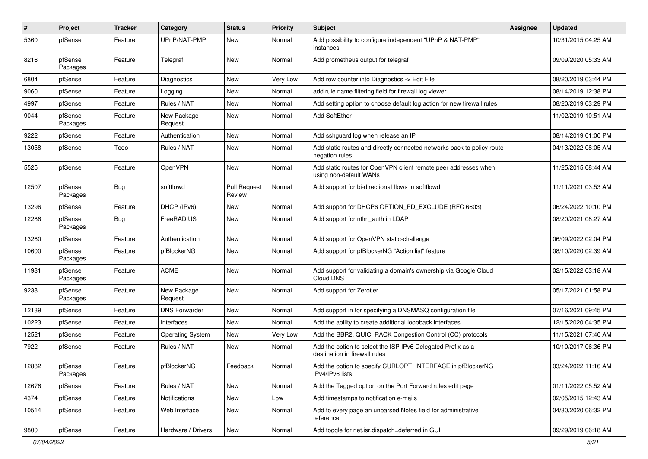| $\pmb{\#}$ | Project             | <b>Tracker</b> | Category                | <b>Status</b>                 | <b>Priority</b> | Subject                                                                                      | Assignee | <b>Updated</b>      |
|------------|---------------------|----------------|-------------------------|-------------------------------|-----------------|----------------------------------------------------------------------------------------------|----------|---------------------|
| 5360       | pfSense             | Feature        | UPnP/NAT-PMP            | New                           | Normal          | Add possibility to configure independent "UPnP & NAT-PMP"<br>instances                       |          | 10/31/2015 04:25 AM |
| 8216       | pfSense<br>Packages | Feature        | Telegraf                | New                           | Normal          | Add prometheus output for telegraf                                                           |          | 09/09/2020 05:33 AM |
| 6804       | pfSense             | Feature        | Diagnostics             | New                           | Very Low        | Add row counter into Diagnostics -> Edit File                                                |          | 08/20/2019 03:44 PM |
| 9060       | pfSense             | Feature        | Logging                 | New                           | Normal          | add rule name filtering field for firewall log viewer                                        |          | 08/14/2019 12:38 PM |
| 4997       | pfSense             | Feature        | Rules / NAT             | New                           | Normal          | Add setting option to choose default log action for new firewall rules                       |          | 08/20/2019 03:29 PM |
| 9044       | pfSense<br>Packages | Feature        | New Package<br>Request  | New                           | Normal          | Add SoftEther                                                                                |          | 11/02/2019 10:51 AM |
| 9222       | pfSense             | Feature        | Authentication          | New                           | Normal          | Add sshguard log when release an IP                                                          |          | 08/14/2019 01:00 PM |
| 13058      | pfSense             | Todo           | Rules / NAT             | New                           | Normal          | Add static routes and directly connected networks back to policy route<br>negation rules     |          | 04/13/2022 08:05 AM |
| 5525       | pfSense             | Feature        | OpenVPN                 | New                           | Normal          | Add static routes for OpenVPN client remote peer addresses when<br>using non-default WANs    |          | 11/25/2015 08:44 AM |
| 12507      | pfSense<br>Packages | Bug            | softflowd               | <b>Pull Request</b><br>Review | Normal          | Add support for bi-directional flows in softflowd                                            |          | 11/11/2021 03:53 AM |
| 13296      | pfSense             | Feature        | DHCP (IPv6)             | New                           | Normal          | Add support for DHCP6 OPTION_PD_EXCLUDE (RFC 6603)                                           |          | 06/24/2022 10:10 PM |
| 12286      | pfSense<br>Packages | Bug            | FreeRADIUS              | New                           | Normal          | Add support for ntlm auth in LDAP                                                            |          | 08/20/2021 08:27 AM |
| 13260      | pfSense             | Feature        | Authentication          | New                           | Normal          | Add support for OpenVPN static-challenge                                                     |          | 06/09/2022 02:04 PM |
| 10600      | pfSense<br>Packages | Feature        | pfBlockerNG             | New                           | Normal          | Add support for pfBlockerNG "Action list" feature                                            |          | 08/10/2020 02:39 AM |
| 11931      | pfSense<br>Packages | Feature        | <b>ACME</b>             | New                           | Normal          | Add support for validating a domain's ownership via Google Cloud<br>Cloud DNS                |          | 02/15/2022 03:18 AM |
| 9238       | pfSense<br>Packages | Feature        | New Package<br>Request  | New                           | Normal          | Add support for Zerotier                                                                     |          | 05/17/2021 01:58 PM |
| 12139      | pfSense             | Feature        | <b>DNS Forwarder</b>    | New                           | Normal          | Add support in for specifying a DNSMASQ configuration file                                   |          | 07/16/2021 09:45 PM |
| 10223      | pfSense             | Feature        | Interfaces              | New                           | Normal          | Add the ability to create additional loopback interfaces                                     |          | 12/15/2020 04:35 PM |
| 12521      | pfSense             | Feature        | <b>Operating System</b> | New                           | Very Low        | Add the BBR2, QUIC, RACK Congestion Control (CC) protocols                                   |          | 11/15/2021 07:40 AM |
| 7922       | pfSense             | Feature        | Rules / NAT             | New                           | Normal          | Add the option to select the ISP IPv6 Delegated Prefix as a<br>destination in firewall rules |          | 10/10/2017 06:36 PM |
| 12882      | pfSense<br>Packages | Feature        | pfBlockerNG             | Feedback                      | Normal          | Add the option to specify CURLOPT_INTERFACE in pfBlockerNG<br>IPv4/IPv6 lists                |          | 03/24/2022 11:16 AM |
| 12676      | pfSense             | Feature        | Rules / NAT             | New                           | Normal          | Add the Tagged option on the Port Forward rules edit page                                    |          | 01/11/2022 05:52 AM |
| 4374       | pfSense             | Feature        | Notifications           | New                           | Low             | Add timestamps to notification e-mails                                                       |          | 02/05/2015 12:43 AM |
| 10514      | pfSense             | Feature        | Web Interface           | New                           | Normal          | Add to every page an unparsed Notes field for administrative<br>reference                    |          | 04/30/2020 06:32 PM |
| 9800       | pfSense             | Feature        | Hardware / Drivers      | New                           | Normal          | Add toggle for net.isr.dispatch=deferred in GUI                                              |          | 09/29/2019 06:18 AM |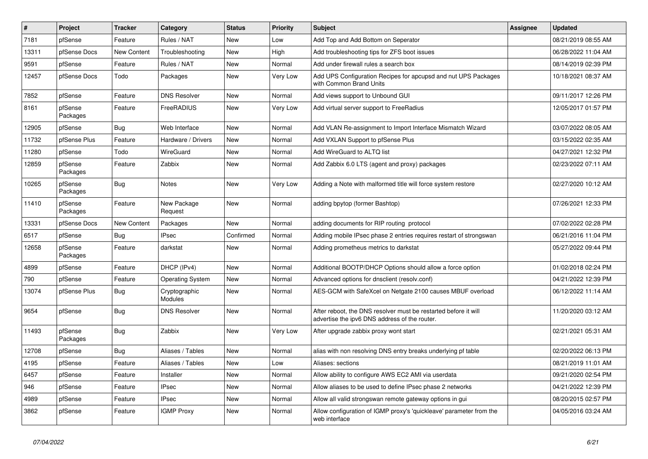| $\vert$ # | Project             | <b>Tracker</b> | Category                        | <b>Status</b> | <b>Priority</b> | <b>Subject</b>                                                                                                   | <b>Assignee</b> | <b>Updated</b>      |
|-----------|---------------------|----------------|---------------------------------|---------------|-----------------|------------------------------------------------------------------------------------------------------------------|-----------------|---------------------|
| 7181      | pfSense             | Feature        | Rules / NAT                     | <b>New</b>    | Low             | Add Top and Add Bottom on Seperator                                                                              |                 | 08/21/2019 08:55 AM |
| 13311     | pfSense Docs        | New Content    | Troubleshooting                 | <b>New</b>    | High            | Add troubleshooting tips for ZFS boot issues                                                                     |                 | 06/28/2022 11:04 AM |
| 9591      | pfSense             | Feature        | Rules / NAT                     | New           | Normal          | Add under firewall rules a search box                                                                            |                 | 08/14/2019 02:39 PM |
| 12457     | pfSense Docs        | Todo           | Packages                        | New           | Very Low        | Add UPS Configuration Recipes for apcupsd and nut UPS Packages<br>with Common Brand Units                        |                 | 10/18/2021 08:37 AM |
| 7852      | pfSense             | Feature        | <b>DNS Resolver</b>             | <b>New</b>    | Normal          | Add views support to Unbound GUI                                                                                 |                 | 09/11/2017 12:26 PM |
| 8161      | pfSense<br>Packages | Feature        | FreeRADIUS                      | <b>New</b>    | Very Low        | Add virtual server support to FreeRadius                                                                         |                 | 12/05/2017 01:57 PM |
| 12905     | pfSense             | <b>Bug</b>     | Web Interface                   | <b>New</b>    | Normal          | Add VLAN Re-assignment to Import Interface Mismatch Wizard                                                       |                 | 03/07/2022 08:05 AM |
| 11732     | pfSense Plus        | Feature        | Hardware / Drivers              | New           | Normal          | Add VXLAN Support to pfSense Plus                                                                                |                 | 03/15/2022 02:35 AM |
| 11280     | pfSense             | Todo           | WireGuard                       | New           | Normal          | Add WireGuard to ALTQ list                                                                                       |                 | 04/27/2021 12:32 PM |
| 12859     | pfSense<br>Packages | Feature        | Zabbix                          | <b>New</b>    | Normal          | Add Zabbix 6.0 LTS (agent and proxy) packages                                                                    |                 | 02/23/2022 07:11 AM |
| 10265     | pfSense<br>Packages | Bug            | <b>Notes</b>                    | New           | Very Low        | Adding a Note with malformed title will force system restore                                                     |                 | 02/27/2020 10:12 AM |
| 11410     | pfSense<br>Packages | Feature        | New Package<br>Request          | <b>New</b>    | Normal          | adding bpytop (former Bashtop)                                                                                   |                 | 07/26/2021 12:33 PM |
| 13331     | pfSense Docs        | New Content    | Packages                        | <b>New</b>    | Normal          | adding documents for RIP routing protocol                                                                        |                 | 07/02/2022 02:28 PM |
| 6517      | pfSense             | <b>Bug</b>     | <b>IPsec</b>                    | Confirmed     | Normal          | Adding mobile IPsec phase 2 entries requires restart of strongswan                                               |                 | 06/21/2016 11:04 PM |
| 12658     | pfSense<br>Packages | Feature        | darkstat                        | New           | Normal          | Adding prometheus metrics to darkstat                                                                            |                 | 05/27/2022 09:44 PM |
| 4899      | pfSense             | Feature        | DHCP (IPv4)                     | New           | Normal          | Additional BOOTP/DHCP Options should allow a force option                                                        |                 | 01/02/2018 02:24 PM |
| 790       | pfSense             | Feature        | <b>Operating System</b>         | New           | Normal          | Advanced options for dnsclient (resolv.conf)                                                                     |                 | 04/21/2022 12:39 PM |
| 13074     | pfSense Plus        | Bug            | Cryptographic<br><b>Modules</b> | New           | Normal          | AES-GCM with SafeXcel on Netgate 2100 causes MBUF overload                                                       |                 | 06/12/2022 11:14 AM |
| 9654      | pfSense             | Bug            | <b>DNS Resolver</b>             | New           | Normal          | After reboot, the DNS resolver must be restarted before it will<br>advertise the ipv6 DNS address of the router. |                 | 11/20/2020 03:12 AM |
| 11493     | pfSense<br>Packages | <b>Bug</b>     | Zabbix                          | <b>New</b>    | Very Low        | After upgrade zabbix proxy wont start                                                                            |                 | 02/21/2021 05:31 AM |
| 12708     | pfSense             | Bug            | Aliases / Tables                | New           | Normal          | alias with non resolving DNS entry breaks underlying pf table                                                    |                 | 02/20/2022 06:13 PM |
| 4195      | pfSense             | Feature        | Aliases / Tables                | New           | Low             | Aliases: sections                                                                                                |                 | 08/21/2019 11:01 AM |
| 6457      | pfSense             | Feature        | Installer                       | New           | Normal          | Allow ability to configure AWS EC2 AMI via userdata                                                              |                 | 09/21/2020 02:54 PM |
| 946       | pfSense             | Feature        | <b>IPsec</b>                    | New           | Normal          | Allow aliases to be used to define IPsec phase 2 networks                                                        |                 | 04/21/2022 12:39 PM |
| 4989      | pfSense             | Feature        | <b>IPsec</b>                    | New           | Normal          | Allow all valid strongswan remote gateway options in gui                                                         |                 | 08/20/2015 02:57 PM |
| 3862      | pfSense             | Feature        | <b>IGMP Proxy</b>               | New           | Normal          | Allow configuration of IGMP proxy's 'quickleave' parameter from the<br>web interface                             |                 | 04/05/2016 03:24 AM |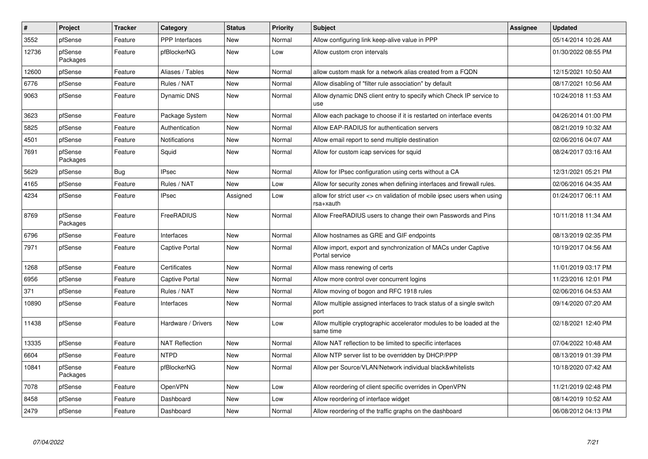| $\vert$ # | Project             | <b>Tracker</b> | Category              | <b>Status</b> | Priority | <b>Subject</b>                                                                       | <b>Assignee</b> | <b>Updated</b>      |
|-----------|---------------------|----------------|-----------------------|---------------|----------|--------------------------------------------------------------------------------------|-----------------|---------------------|
| 3552      | pfSense             | Feature        | PPP Interfaces        | New           | Normal   | Allow configuring link keep-alive value in PPP                                       |                 | 05/14/2014 10:26 AM |
| 12736     | pfSense<br>Packages | Feature        | pfBlockerNG           | <b>New</b>    | Low      | Allow custom cron intervals                                                          |                 | 01/30/2022 08:55 PM |
| 12600     | pfSense             | Feature        | Aliases / Tables      | <b>New</b>    | Normal   | allow custom mask for a network alias created from a FQDN                            |                 | 12/15/2021 10:50 AM |
| 6776      | pfSense             | Feature        | Rules / NAT           | New           | Normal   | Allow disabling of "filter rule association" by default                              |                 | 08/17/2021 10:56 AM |
| 9063      | pfSense             | Feature        | <b>Dynamic DNS</b>    | New           | Normal   | Allow dynamic DNS client entry to specify which Check IP service to<br>use           |                 | 10/24/2018 11:53 AM |
| 3623      | pfSense             | Feature        | Package System        | <b>New</b>    | Normal   | Allow each package to choose if it is restarted on interface events                  |                 | 04/26/2014 01:00 PM |
| 5825      | pfSense             | Feature        | Authentication        | New           | Normal   | Allow EAP-RADIUS for authentication servers                                          |                 | 08/21/2019 10:32 AM |
| 4501      | pfSense             | Feature        | <b>Notifications</b>  | New           | Normal   | Allow email report to send multiple destination                                      |                 | 02/06/2016 04:07 AM |
| 7691      | pfSense<br>Packages | Feature        | Squid                 | New           | Normal   | Allow for custom icap services for squid                                             |                 | 08/24/2017 03:16 AM |
| 5629      | pfSense             | <b>Bug</b>     | <b>IPsec</b>          | New           | Normal   | Allow for IPsec configuration using certs without a CA                               |                 | 12/31/2021 05:21 PM |
| 4165      | pfSense             | Feature        | Rules / NAT           | New           | Low      | Allow for security zones when defining interfaces and firewall rules.                |                 | 02/06/2016 04:35 AM |
| 4234      | pfSense             | Feature        | <b>IPsec</b>          | Assigned      | Low      | allow for strict user <> cn validation of mobile ipsec users when using<br>rsa+xauth |                 | 01/24/2017 06:11 AM |
| 8769      | pfSense<br>Packages | Feature        | FreeRADIUS            | <b>New</b>    | Normal   | Allow FreeRADIUS users to change their own Passwords and Pins                        |                 | 10/11/2018 11:34 AM |
| 6796      | pfSense             | Feature        | Interfaces            | New           | Normal   | Allow hostnames as GRE and GIF endpoints                                             |                 | 08/13/2019 02:35 PM |
| 7971      | pfSense             | Feature        | Captive Portal        | New           | Normal   | Allow import, export and synchronization of MACs under Captive<br>Portal service     |                 | 10/19/2017 04:56 AM |
| 1268      | pfSense             | Feature        | Certificates          | <b>New</b>    | Normal   | Allow mass renewing of certs                                                         |                 | 11/01/2019 03:17 PM |
| 6956      | pfSense             | Feature        | <b>Captive Portal</b> | New           | Normal   | Allow more control over concurrent logins                                            |                 | 11/23/2016 12:01 PM |
| 371       | pfSense             | Feature        | Rules / NAT           | New           | Normal   | Allow moving of bogon and RFC 1918 rules                                             |                 | 02/06/2016 04:53 AM |
| 10890     | pfSense             | Feature        | Interfaces            | New           | Normal   | Allow multiple assigned interfaces to track status of a single switch<br>port        |                 | 09/14/2020 07:20 AM |
| 11438     | pfSense             | Feature        | Hardware / Drivers    | New           | Low      | Allow multiple cryptographic accelerator modules to be loaded at the<br>same time    |                 | 02/18/2021 12:40 PM |
| 13335     | pfSense             | Feature        | <b>NAT Reflection</b> | New           | Normal   | Allow NAT reflection to be limited to specific interfaces                            |                 | 07/04/2022 10:48 AM |
| 6604      | pfSense             | Feature        | <b>NTPD</b>           | New           | Normal   | Allow NTP server list to be overridden by DHCP/PPP                                   |                 | 08/13/2019 01:39 PM |
| 10841     | pfSense<br>Packages | Feature        | pfBlockerNG           | New           | Normal   | Allow per Source/VLAN/Network individual black&whitelists                            |                 | 10/18/2020 07:42 AM |
| 7078      | pfSense             | Feature        | OpenVPN               | New           | Low      | Allow reordering of client specific overrides in OpenVPN                             |                 | 11/21/2019 02:48 PM |
| 8458      | pfSense             | Feature        | Dashboard             | New           | Low      | Allow reordering of interface widget                                                 |                 | 08/14/2019 10:52 AM |
| 2479      | pfSense             | Feature        | Dashboard             | <b>New</b>    | Normal   | Allow reordering of the traffic graphs on the dashboard                              |                 | 06/08/2012 04:13 PM |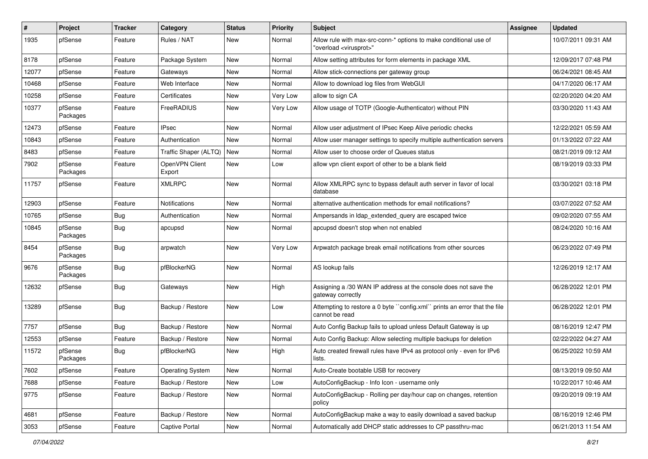| #     | Project             | <b>Tracker</b> | Category                 | <b>Status</b> | <b>Priority</b> | Subject                                                                                                 | <b>Assignee</b> | <b>Updated</b>      |
|-------|---------------------|----------------|--------------------------|---------------|-----------------|---------------------------------------------------------------------------------------------------------|-----------------|---------------------|
| 1935  | pfSense             | Feature        | Rules / NAT              | <b>New</b>    | Normal          | Allow rule with max-src-conn-* options to make conditional use of<br>"overload <virusprot>"</virusprot> |                 | 10/07/2011 09:31 AM |
| 8178  | pfSense             | Feature        | Package System           | <b>New</b>    | Normal          | Allow setting attributes for form elements in package XML                                               |                 | 12/09/2017 07:48 PM |
| 12077 | pfSense             | Feature        | Gateways                 | New           | Normal          | Allow stick-connections per gateway group                                                               |                 | 06/24/2021 08:45 AM |
| 10468 | pfSense             | Feature        | Web Interface            | New           | Normal          | Allow to download log files from WebGUI                                                                 |                 | 04/17/2020 06:17 AM |
| 10258 | pfSense             | Feature        | Certificates             | New           | Very Low        | allow to sign CA                                                                                        |                 | 02/20/2020 04:20 AM |
| 10377 | pfSense<br>Packages | Feature        | FreeRADIUS               | New           | Very Low        | Allow usage of TOTP (Google-Authenticator) without PIN                                                  |                 | 03/30/2020 11:43 AM |
| 12473 | pfSense             | Feature        | <b>IPsec</b>             | <b>New</b>    | Normal          | Allow user adjustment of IPsec Keep Alive periodic checks                                               |                 | 12/22/2021 05:59 AM |
| 10843 | pfSense             | Feature        | Authentication           | <b>New</b>    | Normal          | Allow user manager settings to specify multiple authentication servers                                  |                 | 01/13/2022 07:22 AM |
| 8483  | pfSense             | Feature        | Traffic Shaper (ALTQ)    | New           | Normal          | Allow user to choose order of Queues status                                                             |                 | 08/21/2019 09:12 AM |
| 7902  | pfSense<br>Packages | Feature        | OpenVPN Client<br>Export | New           | Low             | allow vpn client export of other to be a blank field                                                    |                 | 08/19/2019 03:33 PM |
| 11757 | pfSense             | Feature        | <b>XMLRPC</b>            | <b>New</b>    | Normal          | Allow XMLRPC sync to bypass default auth server in favor of local<br>database                           |                 | 03/30/2021 03:18 PM |
| 12903 | pfSense             | Feature        | <b>Notifications</b>     | <b>New</b>    | Normal          | alternative authentication methods for email notifications?                                             |                 | 03/07/2022 07:52 AM |
| 10765 | pfSense             | Bug            | Authentication           | <b>New</b>    | Normal          | Ampersands in Idap extended query are escaped twice                                                     |                 | 09/02/2020 07:55 AM |
| 10845 | pfSense<br>Packages | <b>Bug</b>     | apcupsd                  | New           | Normal          | apcupsd doesn't stop when not enabled                                                                   |                 | 08/24/2020 10:16 AM |
| 8454  | pfSense<br>Packages | <b>Bug</b>     | arpwatch                 | <b>New</b>    | Very Low        | Arpwatch package break email notifications from other sources                                           |                 | 06/23/2022 07:49 PM |
| 9676  | pfSense<br>Packages | <b>Bug</b>     | pfBlockerNG              | <b>New</b>    | Normal          | AS lookup fails                                                                                         |                 | 12/26/2019 12:17 AM |
| 12632 | pfSense             | <b>Bug</b>     | Gateways                 | New           | High            | Assigning a /30 WAN IP address at the console does not save the<br>gateway correctly                    |                 | 06/28/2022 12:01 PM |
| 13289 | pfSense             | Bug            | Backup / Restore         | <b>New</b>    | Low             | Attempting to restore a 0 byte "config.xml" prints an error that the file<br>cannot be read             |                 | 06/28/2022 12:01 PM |
| 7757  | pfSense             | Bug            | Backup / Restore         | <b>New</b>    | Normal          | Auto Config Backup fails to upload unless Default Gateway is up                                         |                 | 08/16/2019 12:47 PM |
| 12553 | pfSense             | Feature        | Backup / Restore         | New           | Normal          | Auto Config Backup: Allow selecting multiple backups for deletion                                       |                 | 02/22/2022 04:27 AM |
| 11572 | pfSense<br>Packages | Bug            | pfBlockerNG              | New           | High            | Auto created firewall rules have IPv4 as protocol only - even for IPv6<br>lists.                        |                 | 06/25/2022 10:59 AM |
| 7602  | pfSense             | Feature        | <b>Operating System</b>  | New           | Normal          | Auto-Create bootable USB for recovery                                                                   |                 | 08/13/2019 09:50 AM |
| 7688  | pfSense             | Feature        | Backup / Restore         | New           | Low             | AutoConfigBackup - Info Icon - username only                                                            |                 | 10/22/2017 10:46 AM |
| 9775  | pfSense             | Feature        | Backup / Restore         | New           | Normal          | AutoConfigBackup - Rolling per day/hour cap on changes, retention<br>policy                             |                 | 09/20/2019 09:19 AM |
| 4681  | pfSense             | Feature        | Backup / Restore         | New           | Normal          | AutoConfigBackup make a way to easily download a saved backup                                           |                 | 08/16/2019 12:46 PM |
| 3053  | pfSense             | Feature        | Captive Portal           | New           | Normal          | Automatically add DHCP static addresses to CP passthru-mac                                              |                 | 06/21/2013 11:54 AM |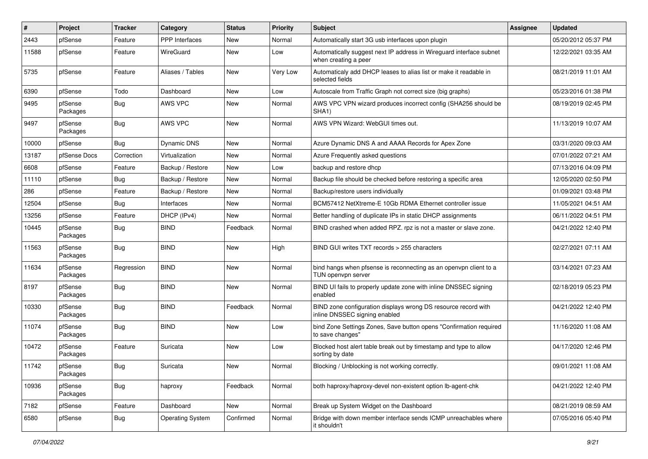| #     | Project             | <b>Tracker</b> | Category                | <b>Status</b> | <b>Priority</b> | <b>Subject</b>                                                                                  | <b>Assignee</b> | <b>Updated</b>      |
|-------|---------------------|----------------|-------------------------|---------------|-----------------|-------------------------------------------------------------------------------------------------|-----------------|---------------------|
| 2443  | pfSense             | Feature        | PPP Interfaces          | New           | Normal          | Automatically start 3G usb interfaces upon plugin                                               |                 | 05/20/2012 05:37 PM |
| 11588 | pfSense             | Feature        | WireGuard               | <b>New</b>    | Low             | Automatically suggest next IP address in Wireguard interface subnet<br>when creating a peer     |                 | 12/22/2021 03:35 AM |
| 5735  | pfSense             | Feature        | Aliases / Tables        | <b>New</b>    | Very Low        | Automaticaly add DHCP leases to alias list or make it readable in<br>selected fields            |                 | 08/21/2019 11:01 AM |
| 6390  | pfSense             | Todo           | Dashboard               | <b>New</b>    | Low             | Autoscale from Traffic Graph not correct size (big graphs)                                      |                 | 05/23/2016 01:38 PM |
| 9495  | pfSense<br>Packages | <b>Bug</b>     | AWS VPC                 | New           | Normal          | AWS VPC VPN wizard produces incorrect config (SHA256 should be<br>SHA <sub>1</sub> )            |                 | 08/19/2019 02:45 PM |
| 9497  | pfSense<br>Packages | Bug            | AWS VPC                 | <b>New</b>    | Normal          | AWS VPN Wizard: WebGUI times out.                                                               |                 | 11/13/2019 10:07 AM |
| 10000 | pfSense             | Bug            | <b>Dynamic DNS</b>      | <b>New</b>    | Normal          | Azure Dynamic DNS A and AAAA Records for Apex Zone                                              |                 | 03/31/2020 09:03 AM |
| 13187 | pfSense Docs        | Correction     | Virtualization          | <b>New</b>    | Normal          | Azure Frequently asked questions                                                                |                 | 07/01/2022 07:21 AM |
| 6608  | pfSense             | Feature        | Backup / Restore        | <b>New</b>    | Low             | backup and restore dhcp                                                                         |                 | 07/13/2016 04:09 PM |
| 11110 | pfSense             | Bug            | Backup / Restore        | <b>New</b>    | Normal          | Backup file should be checked before restoring a specific area                                  |                 | 12/05/2020 02:50 PM |
| 286   | pfSense             | Feature        | Backup / Restore        | New           | Normal          | Backup/restore users individually                                                               |                 | 01/09/2021 03:48 PM |
| 12504 | pfSense             | Bug            | Interfaces              | <b>New</b>    | Normal          | BCM57412 NetXtreme-E 10Gb RDMA Ethernet controller issue                                        |                 | 11/05/2021 04:51 AM |
| 13256 | pfSense             | Feature        | DHCP (IPv4)             | <b>New</b>    | Normal          | Better handling of duplicate IPs in static DHCP assignments                                     |                 | 06/11/2022 04:51 PM |
| 10445 | pfSense<br>Packages | Bug            | <b>BIND</b>             | Feedback      | Normal          | BIND crashed when added RPZ. rpz is not a master or slave zone.                                 |                 | 04/21/2022 12:40 PM |
| 11563 | pfSense<br>Packages | Bug            | <b>BIND</b>             | <b>New</b>    | High            | BIND GUI writes TXT records > 255 characters                                                    |                 | 02/27/2021 07:11 AM |
| 11634 | pfSense<br>Packages | Regression     | <b>BIND</b>             | <b>New</b>    | Normal          | bind hangs when pfsense is reconnecting as an openvpn client to a<br>TUN openvpn server         |                 | 03/14/2021 07:23 AM |
| 8197  | pfSense<br>Packages | <b>Bug</b>     | <b>BIND</b>             | <b>New</b>    | Normal          | BIND UI fails to properly update zone with inline DNSSEC signing<br>enabled                     |                 | 02/18/2019 05:23 PM |
| 10330 | pfSense<br>Packages | Bug            | <b>BIND</b>             | Feedback      | Normal          | BIND zone configuration displays wrong DS resource record with<br>inline DNSSEC signing enabled |                 | 04/21/2022 12:40 PM |
| 11074 | pfSense<br>Packages | <b>Bug</b>     | <b>BIND</b>             | <b>New</b>    | Low             | bind Zone Settings Zones, Save button opens "Confirmation required<br>to save changes"          |                 | 11/16/2020 11:08 AM |
| 10472 | pfSense<br>Packages | Feature        | Suricata                | <b>New</b>    | Low             | Blocked host alert table break out by timestamp and type to allow<br>sorting by date            |                 | 04/17/2020 12:46 PM |
| 11742 | pfSense<br>Packages | Bug            | Suricata                | New           | Normal          | Blocking / Unblocking is not working correctly.                                                 |                 | 09/01/2021 11:08 AM |
| 10936 | pfSense<br>Packages | Bug            | haproxy                 | Feedback      | Normal          | both haproxy/haproxy-devel non-existent option lb-agent-chk                                     |                 | 04/21/2022 12:40 PM |
| 7182  | pfSense             | Feature        | Dashboard               | New           | Normal          | Break up System Widget on the Dashboard                                                         |                 | 08/21/2019 08:59 AM |
| 6580  | pfSense             | <b>Bug</b>     | <b>Operating System</b> | Confirmed     | Normal          | Bridge with down member interface sends ICMP unreachables where<br>it shouldn't                 |                 | 07/05/2016 05:40 PM |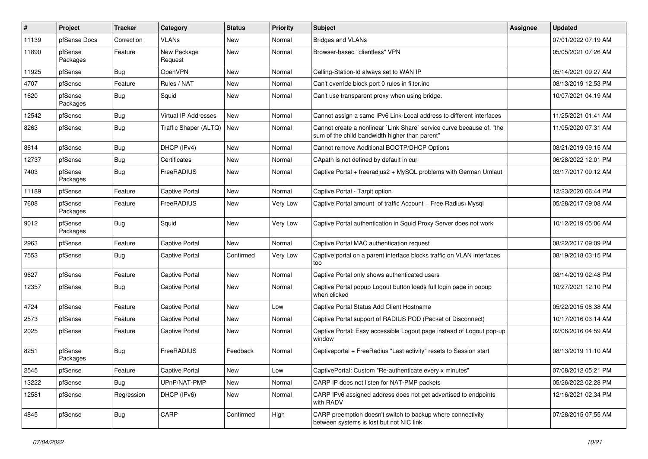| $\vert$ # | Project             | <b>Tracker</b> | Category               | <b>Status</b> | <b>Priority</b> | Subject                                                                                                                 | <b>Assignee</b> | <b>Updated</b>      |
|-----------|---------------------|----------------|------------------------|---------------|-----------------|-------------------------------------------------------------------------------------------------------------------------|-----------------|---------------------|
| 11139     | pfSense Docs        | Correction     | <b>VLANs</b>           | New           | Normal          | <b>Bridges and VLANs</b>                                                                                                |                 | 07/01/2022 07:19 AM |
| 11890     | pfSense<br>Packages | Feature        | New Package<br>Request | <b>New</b>    | Normal          | Browser-based "clientless" VPN                                                                                          |                 | 05/05/2021 07:26 AM |
| 11925     | pfSense             | Bug            | OpenVPN                | <b>New</b>    | Normal          | Calling-Station-Id always set to WAN IP                                                                                 |                 | 05/14/2021 09:27 AM |
| 4707      | pfSense             | Feature        | Rules / NAT            | <b>New</b>    | Normal          | Can't override block port 0 rules in filter.inc                                                                         |                 | 08/13/2019 12:53 PM |
| 1620      | pfSense<br>Packages | <b>Bug</b>     | Squid                  | New           | Normal          | Can't use transparent proxy when using bridge.                                                                          |                 | 10/07/2021 04:19 AM |
| 12542     | pfSense             | Bug            | Virtual IP Addresses   | <b>New</b>    | Normal          | Cannot assign a same IPv6 Link-Local address to different interfaces                                                    |                 | 11/25/2021 01:41 AM |
| 8263      | pfSense             | <b>Bug</b>     | Traffic Shaper (ALTQ)  | New           | Normal          | Cannot create a nonlinear `Link Share` service curve because of: "the<br>sum of the child bandwidth higher than parent" |                 | 11/05/2020 07:31 AM |
| 8614      | pfSense             | Bug            | DHCP (IPv4)            | New           | Normal          | Cannot remove Additional BOOTP/DHCP Options                                                                             |                 | 08/21/2019 09:15 AM |
| 12737     | pfSense             | Bug            | Certificates           | <b>New</b>    | Normal          | CApath is not defined by default in curl                                                                                |                 | 06/28/2022 12:01 PM |
| 7403      | pfSense<br>Packages | Bug            | FreeRADIUS             | New           | Normal          | Captive Portal + freeradius2 + MySQL problems with German Umlaut                                                        |                 | 03/17/2017 09:12 AM |
| 11189     | pfSense             | Feature        | <b>Captive Portal</b>  | <b>New</b>    | Normal          | Captive Portal - Tarpit option                                                                                          |                 | 12/23/2020 06:44 PM |
| 7608      | pfSense<br>Packages | Feature        | FreeRADIUS             | New           | Very Low        | Captive Portal amount of traffic Account + Free Radius+Mysql                                                            |                 | 05/28/2017 09:08 AM |
| 9012      | pfSense<br>Packages | <b>Bug</b>     | Squid                  | <b>New</b>    | Very Low        | Captive Portal authentication in Squid Proxy Server does not work                                                       |                 | 10/12/2019 05:06 AM |
| 2963      | pfSense             | Feature        | <b>Captive Portal</b>  | New           | Normal          | Captive Portal MAC authentication request                                                                               |                 | 08/22/2017 09:09 PM |
| 7553      | pfSense             | Bug            | <b>Captive Portal</b>  | Confirmed     | Very Low        | Captive portal on a parent interface blocks traffic on VLAN interfaces<br>too                                           |                 | 08/19/2018 03:15 PM |
| 9627      | pfSense             | Feature        | <b>Captive Portal</b>  | <b>New</b>    | Normal          | Captive Portal only shows authenticated users                                                                           |                 | 08/14/2019 02:48 PM |
| 12357     | pfSense             | Bug            | <b>Captive Portal</b>  | <b>New</b>    | Normal          | Captive Portal popup Logout button loads full login page in popup<br>when clicked                                       |                 | 10/27/2021 12:10 PM |
| 4724      | pfSense             | Feature        | <b>Captive Portal</b>  | <b>New</b>    | Low             | Captive Portal Status Add Client Hostname                                                                               |                 | 05/22/2015 08:38 AM |
| 2573      | pfSense             | Feature        | <b>Captive Portal</b>  | <b>New</b>    | Normal          | Captive Portal support of RADIUS POD (Packet of Disconnect)                                                             |                 | 10/17/2016 03:14 AM |
| 2025      | pfSense             | Feature        | <b>Captive Portal</b>  | <b>New</b>    | Normal          | Captive Portal: Easy accessible Logout page instead of Logout pop-up<br>window                                          |                 | 02/06/2016 04:59 AM |
| 8251      | pfSense<br>Packages | Bug            | FreeRADIUS             | Feedback      | Normal          | Captiveportal + FreeRadius "Last activity" resets to Session start                                                      |                 | 08/13/2019 11:10 AM |
| 2545      | pfSense             | Feature        | <b>Captive Portal</b>  | New           | Low             | CaptivePortal: Custom "Re-authenticate every x minutes"                                                                 |                 | 07/08/2012 05:21 PM |
| 13222     | pfSense             | Bug            | UPnP/NAT-PMP           | New           | Normal          | CARP IP does not listen for NAT-PMP packets                                                                             |                 | 05/26/2022 02:28 PM |
| 12581     | pfSense             | Regression     | DHCP (IPv6)            | New           | Normal          | CARP IPv6 assigned address does not get advertised to endpoints<br>with RADV                                            |                 | 12/16/2021 02:34 PM |
| 4845      | pfSense             | <b>Bug</b>     | CARP                   | Confirmed     | High            | CARP preemption doesn't switch to backup where connectivity<br>between systems is lost but not NIC link                 |                 | 07/28/2015 07:55 AM |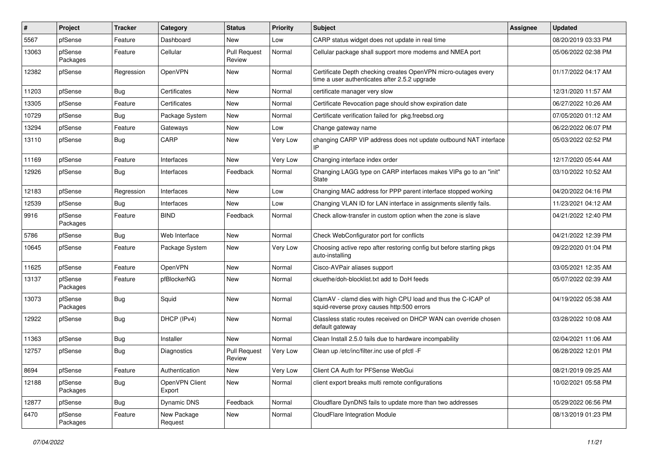| #     | Project             | <b>Tracker</b> | Category                 | <b>Status</b>                 | <b>Priority</b> | Subject                                                                                                         | <b>Assignee</b> | <b>Updated</b>      |
|-------|---------------------|----------------|--------------------------|-------------------------------|-----------------|-----------------------------------------------------------------------------------------------------------------|-----------------|---------------------|
| 5567  | pfSense             | Feature        | Dashboard                | New                           | Low             | CARP status widget does not update in real time                                                                 |                 | 08/20/2019 03:33 PM |
| 13063 | pfSense<br>Packages | Feature        | Cellular                 | <b>Pull Request</b><br>Review | Normal          | Cellular package shall support more modems and NMEA port                                                        |                 | 05/06/2022 02:38 PM |
| 12382 | pfSense             | Regression     | OpenVPN                  | New                           | Normal          | Certificate Depth checking creates OpenVPN micro-outages every<br>time a user authenticates after 2.5.2 upgrade |                 | 01/17/2022 04:17 AM |
| 11203 | pfSense             | Bug            | Certificates             | New                           | Normal          | certificate manager very slow                                                                                   |                 | 12/31/2020 11:57 AM |
| 13305 | pfSense             | Feature        | Certificates             | New                           | Normal          | Certificate Revocation page should show expiration date                                                         |                 | 06/27/2022 10:26 AM |
| 10729 | pfSense             | Bug            | Package System           | New                           | Normal          | Certificate verification failed for pkg.freebsd.org                                                             |                 | 07/05/2020 01:12 AM |
| 13294 | pfSense             | Feature        | Gateways                 | New                           | Low             | Change gateway name                                                                                             |                 | 06/22/2022 06:07 PM |
| 13110 | pfSense             | Bug            | CARP                     | New                           | Very Low        | changing CARP VIP address does not update outbound NAT interface<br>IP                                          |                 | 05/03/2022 02:52 PM |
| 11169 | pfSense             | Feature        | Interfaces               | New                           | Very Low        | Changing interface index order                                                                                  |                 | 12/17/2020 05:44 AM |
| 12926 | pfSense             | Bug            | Interfaces               | Feedback                      | Normal          | Changing LAGG type on CARP interfaces makes VIPs go to an "init"<br><b>State</b>                                |                 | 03/10/2022 10:52 AM |
| 12183 | pfSense             | Regression     | Interfaces               | New                           | Low             | Changing MAC address for PPP parent interface stopped working                                                   |                 | 04/20/2022 04:16 PM |
| 12539 | pfSense             | Bug            | Interfaces               | New                           | Low             | Changing VLAN ID for LAN interface in assignments silently fails.                                               |                 | 11/23/2021 04:12 AM |
| 9916  | pfSense<br>Packages | Feature        | <b>BIND</b>              | Feedback                      | Normal          | Check allow-transfer in custom option when the zone is slave                                                    |                 | 04/21/2022 12:40 PM |
| 5786  | pfSense             | Bug            | Web Interface            | New                           | Normal          | Check WebConfigurator port for conflicts                                                                        |                 | 04/21/2022 12:39 PM |
| 10645 | pfSense             | Feature        | Package System           | New                           | Very Low        | Choosing active repo after restoring config but before starting pkgs<br>auto-installing                         |                 | 09/22/2020 01:04 PM |
| 11625 | pfSense             | Feature        | OpenVPN                  | New                           | Normal          | Cisco-AVPair aliases support                                                                                    |                 | 03/05/2021 12:35 AM |
| 13137 | pfSense<br>Packages | Feature        | pfBlockerNG              | New                           | Normal          | ckuethe/doh-blocklist.txt add to DoH feeds                                                                      |                 | 05/07/2022 02:39 AM |
| 13073 | pfSense<br>Packages | <b>Bug</b>     | Squid                    | New                           | Normal          | ClamAV - clamd dies with high CPU load and thus the C-ICAP of<br>squid-reverse proxy causes http:500 errors     |                 | 04/19/2022 05:38 AM |
| 12922 | pfSense             | Bug            | DHCP (IPv4)              | New                           | Normal          | Classless static routes received on DHCP WAN can override chosen<br>default gateway                             |                 | 03/28/2022 10:08 AM |
| 11363 | pfSense             | <b>Bug</b>     | Installer                | <b>New</b>                    | Normal          | Clean Install 2.5.0 fails due to hardware incompability                                                         |                 | 02/04/2021 11:06 AM |
| 12757 | pfSense             | Bug            | Diagnostics              | <b>Pull Request</b><br>Review | Very Low        | Clean up /etc/inc/filter.inc use of pfctl -F                                                                    |                 | 06/28/2022 12:01 PM |
| 8694  | pfSense             | Feature        | Authentication           | New                           | Very Low        | Client CA Auth for PFSense WebGui                                                                               |                 | 08/21/2019 09:25 AM |
| 12188 | pfSense<br>Packages | Bug            | OpenVPN Client<br>Export | New                           | Normal          | client export breaks multi remote configurations                                                                |                 | 10/02/2021 05:58 PM |
| 12877 | pfSense             | <b>Bug</b>     | Dynamic DNS              | Feedback                      | Normal          | Cloudflare DynDNS fails to update more than two addresses                                                       |                 | 05/29/2022 06:56 PM |
| 6470  | pfSense<br>Packages | Feature        | New Package<br>Request   | New                           | Normal          | CloudFlare Integration Module                                                                                   |                 | 08/13/2019 01:23 PM |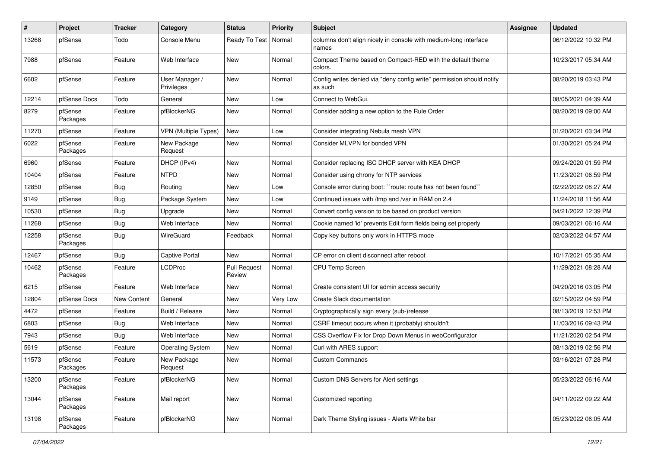| #     | Project             | <b>Tracker</b> | Category                     | <b>Status</b>                 | <b>Priority</b> | Subject                                                                          | Assignee | <b>Updated</b>      |
|-------|---------------------|----------------|------------------------------|-------------------------------|-----------------|----------------------------------------------------------------------------------|----------|---------------------|
| 13268 | pfSense             | Todo           | Console Menu                 | Ready To Test                 | Normal          | columns don't align nicely in console with medium-long interface<br>names        |          | 06/12/2022 10:32 PM |
| 7988  | pfSense             | Feature        | Web Interface                | <b>New</b>                    | Normal          | Compact Theme based on Compact-RED with the default theme<br>colors.             |          | 10/23/2017 05:34 AM |
| 6602  | pfSense             | Feature        | User Manager /<br>Privileges | <b>New</b>                    | Normal          | Config writes denied via "deny config write" permission should notify<br>as such |          | 08/20/2019 03:43 PM |
| 12214 | pfSense Docs        | Todo           | General                      | <b>New</b>                    | Low             | Connect to WebGui.                                                               |          | 08/05/2021 04:39 AM |
| 8279  | pfSense<br>Packages | Feature        | pfBlockerNG                  | <b>New</b>                    | Normal          | Consider adding a new option to the Rule Order                                   |          | 08/20/2019 09:00 AM |
| 11270 | pfSense             | Feature        | <b>VPN (Multiple Types)</b>  | <b>New</b>                    | Low             | Consider integrating Nebula mesh VPN                                             |          | 01/20/2021 03:34 PM |
| 6022  | pfSense<br>Packages | Feature        | New Package<br>Request       | New                           | Normal          | Consider MLVPN for bonded VPN                                                    |          | 01/30/2021 05:24 PM |
| 6960  | pfSense             | Feature        | DHCP (IPv4)                  | <b>New</b>                    | Normal          | Consider replacing ISC DHCP server with KEA DHCP                                 |          | 09/24/2020 01:59 PM |
| 10404 | pfSense             | Feature        | <b>NTPD</b>                  | New                           | Normal          | Consider using chrony for NTP services                                           |          | 11/23/2021 06:59 PM |
| 12850 | pfSense             | <b>Bug</b>     | Routing                      | New                           | Low             | Console error during boot: "route: route has not been found"                     |          | 02/22/2022 08:27 AM |
| 9149  | pfSense             | Bug            | Package System               | <b>New</b>                    | Low             | Continued issues with /tmp and /var in RAM on 2.4                                |          | 11/24/2018 11:56 AM |
| 10530 | pfSense             | Bug            | Upgrade                      | New                           | Normal          | Convert config version to be based on product version                            |          | 04/21/2022 12:39 PM |
| 11268 | pfSense             | Bug            | Web Interface                | <b>New</b>                    | Normal          | Cookie named 'id' prevents Edit form fields being set properly                   |          | 09/03/2021 06:16 AM |
| 12258 | pfSense<br>Packages | Bug            | WireGuard                    | Feedback                      | Normal          | Copy key buttons only work in HTTPS mode                                         |          | 02/03/2022 04:57 AM |
| 12467 | pfSense             | <b>Bug</b>     | <b>Captive Portal</b>        | New                           | Normal          | CP error on client disconnect after reboot                                       |          | 10/17/2021 05:35 AM |
| 10462 | pfSense<br>Packages | Feature        | <b>LCDProc</b>               | <b>Pull Request</b><br>Review | Normal          | <b>CPU Temp Screen</b>                                                           |          | 11/29/2021 08:28 AM |
| 6215  | pfSense             | Feature        | Web Interface                | <b>New</b>                    | Normal          | Create consistent UI for admin access security                                   |          | 04/20/2016 03:05 PM |
| 12804 | pfSense Docs        | New Content    | General                      | New                           | Very Low        | Create Slack documentation                                                       |          | 02/15/2022 04:59 PM |
| 4472  | pfSense             | Feature        | Build / Release              | New                           | Normal          | Cryptographically sign every (sub-)release                                       |          | 08/13/2019 12:53 PM |
| 6803  | pfSense             | Bug            | Web Interface                | New                           | Normal          | CSRF timeout occurs when it (probably) shouldn't                                 |          | 11/03/2016 09:43 PM |
| 7943  | pfSense             | Bug            | Web Interface                | <b>New</b>                    | Normal          | CSS Overflow Fix for Drop Down Menus in webConfigurator                          |          | 11/21/2020 02:54 PM |
| 5619  | pfSense             | Feature        | <b>Operating System</b>      | <b>New</b>                    | Normal          | Curl with ARES support                                                           |          | 08/13/2019 02:56 PM |
| 11573 | pfSense<br>Packages | Feature        | New Package<br>Request       | New                           | Normal          | <b>Custom Commands</b>                                                           |          | 03/16/2021 07:28 PM |
| 13200 | pfSense<br>Packages | Feature        | pfBlockerNG                  | New                           | Normal          | Custom DNS Servers for Alert settings                                            |          | 05/23/2022 06:16 AM |
| 13044 | pfSense<br>Packages | Feature        | Mail report                  | New                           | Normal          | Customized reporting                                                             |          | 04/11/2022 09:22 AM |
| 13198 | pfSense<br>Packages | Feature        | pfBlockerNG                  | New                           | Normal          | Dark Theme Styling issues - Alerts White bar                                     |          | 05/23/2022 06:05 AM |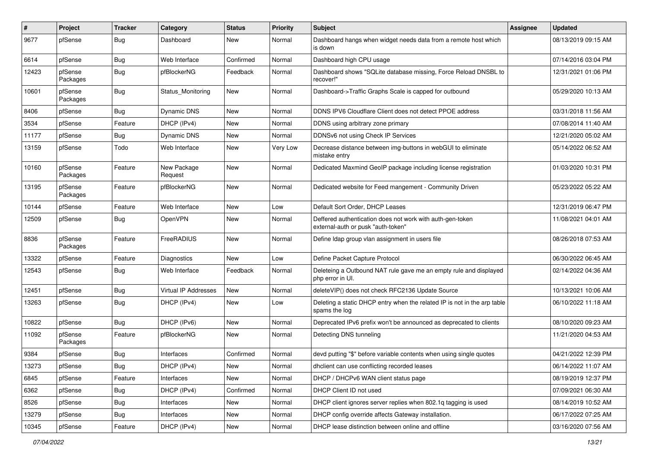| #     | Project             | <b>Tracker</b> | Category                    | <b>Status</b> | <b>Priority</b> | <b>Subject</b>                                                                                  | <b>Assignee</b> | <b>Updated</b>      |
|-------|---------------------|----------------|-----------------------------|---------------|-----------------|-------------------------------------------------------------------------------------------------|-----------------|---------------------|
| 9677  | pfSense             | Bug            | Dashboard                   | New           | Normal          | Dashboard hangs when widget needs data from a remote host which<br>is down                      |                 | 08/13/2019 09:15 AM |
| 6614  | pfSense             | Bug            | Web Interface               | Confirmed     | Normal          | Dashboard high CPU usage                                                                        |                 | 07/14/2016 03:04 PM |
| 12423 | pfSense<br>Packages | Bug            | pfBlockerNG                 | Feedback      | Normal          | Dashboard shows "SQLite database missing, Force Reload DNSBL to<br>recover!'                    |                 | 12/31/2021 01:06 PM |
| 10601 | pfSense<br>Packages | Bug            | Status_Monitoring           | <b>New</b>    | Normal          | Dashboard->Traffic Graphs Scale is capped for outbound                                          |                 | 05/29/2020 10:13 AM |
| 8406  | pfSense             | Bug            | Dynamic DNS                 | <b>New</b>    | Normal          | DDNS IPV6 Cloudflare Client does not detect PPOE address                                        |                 | 03/31/2018 11:56 AM |
| 3534  | pfSense             | Feature        | DHCP (IPv4)                 | <b>New</b>    | Normal          | DDNS using arbitrary zone primary                                                               |                 | 07/08/2014 11:40 AM |
| 11177 | pfSense             | Bug            | Dynamic DNS                 | New           | Normal          | DDNSv6 not using Check IP Services                                                              |                 | 12/21/2020 05:02 AM |
| 13159 | pfSense             | Todo           | Web Interface               | New           | Very Low        | Decrease distance between img-buttons in webGUI to eliminate<br>mistake entry                   |                 | 05/14/2022 06:52 AM |
| 10160 | pfSense<br>Packages | Feature        | New Package<br>Request      | <b>New</b>    | Normal          | Dedicated Maxmind GeoIP package including license registration                                  |                 | 01/03/2020 10:31 PM |
| 13195 | pfSense<br>Packages | Feature        | pfBlockerNG                 | New           | Normal          | Dedicated website for Feed mangement - Community Driven                                         |                 | 05/23/2022 05:22 AM |
| 10144 | pfSense             | Feature        | Web Interface               | New           | Low             | Default Sort Order, DHCP Leases                                                                 |                 | 12/31/2019 06:47 PM |
| 12509 | pfSense             | Bug            | OpenVPN                     | New           | Normal          | Deffered authentication does not work with auth-gen-token<br>external-auth or pusk "auth-token" |                 | 11/08/2021 04:01 AM |
| 8836  | pfSense<br>Packages | Feature        | FreeRADIUS                  | <b>New</b>    | Normal          | Define Idap group vlan assignment in users file                                                 |                 | 08/26/2018 07:53 AM |
| 13322 | pfSense             | Feature        | Diagnostics                 | New           | Low             | Define Packet Capture Protocol                                                                  |                 | 06/30/2022 06:45 AM |
| 12543 | pfSense             | Bug            | Web Interface               | Feedback      | Normal          | Deleteing a Outbound NAT rule gave me an empty rule and displayed<br>php error in UI.           |                 | 02/14/2022 04:36 AM |
| 12451 | pfSense             | Bug            | <b>Virtual IP Addresses</b> | <b>New</b>    | Normal          | deleteVIP() does not check RFC2136 Update Source                                                |                 | 10/13/2021 10:06 AM |
| 13263 | pfSense             | Bug            | DHCP (IPv4)                 | New           | Low             | Deleting a static DHCP entry when the related IP is not in the arp table<br>spams the log       |                 | 06/10/2022 11:18 AM |
| 10822 | pfSense             | Bug            | DHCP (IPv6)                 | New           | Normal          | Deprecated IPv6 prefix won't be announced as deprecated to clients                              |                 | 08/10/2020 09:23 AM |
| 11092 | pfSense<br>Packages | Feature        | pfBlockerNG                 | New           | Normal          | Detecting DNS tunneling                                                                         |                 | 11/21/2020 04:53 AM |
| 9384  | pfSense             | Bug            | Interfaces                  | Confirmed     | Normal          | devd putting "\$" before variable contents when using single quotes                             |                 | 04/21/2022 12:39 PM |
| 13273 | pfSense             | <b>Bug</b>     | DHCP (IPv4)                 | New           | Normal          | dhclient can use conflicting recorded leases                                                    |                 | 06/14/2022 11:07 AM |
| 6845  | pfSense             | Feature        | Interfaces                  | New           | Normal          | DHCP / DHCPv6 WAN client status page                                                            |                 | 08/19/2019 12:37 PM |
| 6362  | pfSense             | <b>Bug</b>     | DHCP (IPv4)                 | Confirmed     | Normal          | DHCP Client ID not used                                                                         |                 | 07/09/2021 06:30 AM |
| 8526  | pfSense             | <b>Bug</b>     | Interfaces                  | New           | Normal          | DHCP client ignores server replies when 802.1q tagging is used                                  |                 | 08/14/2019 10:52 AM |
| 13279 | pfSense             | Bug            | Interfaces                  | New           | Normal          | DHCP config override affects Gateway installation.                                              |                 | 06/17/2022 07:25 AM |
| 10345 | pfSense             | Feature        | DHCP (IPv4)                 | New           | Normal          | DHCP lease distinction between online and offline                                               |                 | 03/16/2020 07:56 AM |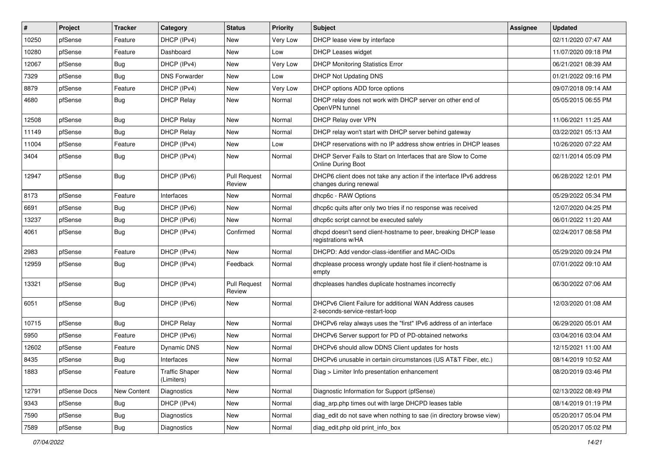| $\vert$ # | Project      | <b>Tracker</b> | Category                            | <b>Status</b>                 | <b>Priority</b> | Subject                                                                                       | <b>Assignee</b> | <b>Updated</b>      |
|-----------|--------------|----------------|-------------------------------------|-------------------------------|-----------------|-----------------------------------------------------------------------------------------------|-----------------|---------------------|
| 10250     | pfSense      | Feature        | DHCP (IPv4)                         | New                           | Very Low        | DHCP lease view by interface                                                                  |                 | 02/11/2020 07:47 AM |
| 10280     | pfSense      | Feature        | Dashboard                           | <b>New</b>                    | Low             | DHCP Leases widget                                                                            |                 | 11/07/2020 09:18 PM |
| 12067     | pfSense      | Bug            | DHCP (IPv4)                         | New                           | Very Low        | <b>DHCP Monitoring Statistics Error</b>                                                       |                 | 06/21/2021 08:39 AM |
| 7329      | pfSense      | Bug            | <b>DNS Forwarder</b>                | <b>New</b>                    | Low             | <b>DHCP Not Updating DNS</b>                                                                  |                 | 01/21/2022 09:16 PM |
| 8879      | pfSense      | Feature        | DHCP (IPv4)                         | <b>New</b>                    | Very Low        | DHCP options ADD force options                                                                |                 | 09/07/2018 09:14 AM |
| 4680      | pfSense      | Bug            | <b>DHCP Relay</b>                   | <b>New</b>                    | Normal          | DHCP relay does not work with DHCP server on other end of<br>OpenVPN tunnel                   |                 | 05/05/2015 06:55 PM |
| 12508     | pfSense      | Bug            | <b>DHCP Relay</b>                   | New                           | Normal          | DHCP Relay over VPN                                                                           |                 | 11/06/2021 11:25 AM |
| 11149     | pfSense      | Bug            | <b>DHCP Relay</b>                   | <b>New</b>                    | Normal          | DHCP relay won't start with DHCP server behind gateway                                        |                 | 03/22/2021 05:13 AM |
| 11004     | pfSense      | Feature        | DHCP (IPv4)                         | <b>New</b>                    | Low             | DHCP reservations with no IP address show entries in DHCP leases                              |                 | 10/26/2020 07:22 AM |
| 3404      | pfSense      | Bug            | DHCP (IPv4)                         | New                           | Normal          | DHCP Server Fails to Start on Interfaces that are Slow to Come<br><b>Online During Boot</b>   |                 | 02/11/2014 05:09 PM |
| 12947     | pfSense      | Bug            | DHCP (IPv6)                         | <b>Pull Request</b><br>Review | Normal          | DHCP6 client does not take any action if the interface IPv6 address<br>changes during renewal |                 | 06/28/2022 12:01 PM |
| 8173      | pfSense      | Feature        | Interfaces                          | New                           | Normal          | dhcp6c - RAW Options                                                                          |                 | 05/29/2022 05:34 PM |
| 6691      | pfSense      | Bug            | DHCP (IPv6)                         | <b>New</b>                    | Normal          | dhcp6c quits after only two tries if no response was received                                 |                 | 12/07/2020 04:25 PM |
| 13237     | pfSense      | Bug            | DHCP (IPv6)                         | <b>New</b>                    | Normal          | dhcp6c script cannot be executed safely                                                       |                 | 06/01/2022 11:20 AM |
| 4061      | pfSense      | <b>Bug</b>     | DHCP (IPv4)                         | Confirmed                     | Normal          | dhcpd doesn't send client-hostname to peer, breaking DHCP lease<br>registrations w/HA         |                 | 02/24/2017 08:58 PM |
| 2983      | pfSense      | Feature        | DHCP (IPv4)                         | <b>New</b>                    | Normal          | DHCPD: Add vendor-class-identifier and MAC-OIDs                                               |                 | 05/29/2020 09:24 PM |
| 12959     | pfSense      | Bug            | DHCP (IPv4)                         | Feedback                      | Normal          | dhcplease process wrongly update host file if client-hostname is<br>empty                     |                 | 07/01/2022 09:10 AM |
| 13321     | pfSense      | Bug            | DHCP (IPv4)                         | <b>Pull Request</b><br>Review | Normal          | dhcpleases handles duplicate hostnames incorrectly                                            |                 | 06/30/2022 07:06 AM |
| 6051      | pfSense      | <b>Bug</b>     | DHCP (IPv6)                         | <b>New</b>                    | Normal          | DHCPv6 Client Failure for additional WAN Address causes<br>2-seconds-service-restart-loop     |                 | 12/03/2020 01:08 AM |
| 10715     | pfSense      | Bug            | <b>DHCP Relay</b>                   | New                           | Normal          | DHCPv6 relay always uses the "first" IPv6 address of an interface                             |                 | 06/29/2020 05:01 AM |
| 5950      | pfSense      | Feature        | DHCP (IPv6)                         | <b>New</b>                    | Normal          | DHCPv6 Server support for PD of PD-obtained networks                                          |                 | 03/04/2016 03:04 AM |
| 12602     | pfSense      | Feature        | Dynamic DNS                         | New                           | Normal          | DHCPv6 should allow DDNS Client updates for hosts                                             |                 | 12/15/2021 11:00 AM |
| 8435      | pfSense      | Bug            | Interfaces                          | New                           | Normal          | DHCPv6 unusable in certain circumstances (US AT&T Fiber, etc.)                                |                 | 08/14/2019 10:52 AM |
| 1883      | pfSense      | Feature        | <b>Traffic Shaper</b><br>(Limiters) | New                           | Normal          | Diag > Limiter Info presentation enhancement                                                  |                 | 08/20/2019 03:46 PM |
| 12791     | pfSense Docs | New Content    | Diagnostics                         | New                           | Normal          | Diagnostic Information for Support (pfSense)                                                  |                 | 02/13/2022 08:49 PM |
| 9343      | pfSense      | Bug            | DHCP (IPv4)                         | New                           | Normal          | diag_arp.php times out with large DHCPD leases table                                          |                 | 08/14/2019 01:19 PM |
| 7590      | pfSense      | <b>Bug</b>     | Diagnostics                         | New                           | Normal          | diag edit do not save when nothing to sae (in directory browse view)                          |                 | 05/20/2017 05:04 PM |
| 7589      | pfSense      | Bug            | Diagnostics                         | New                           | Normal          | diag_edit.php old print_info_box                                                              |                 | 05/20/2017 05:02 PM |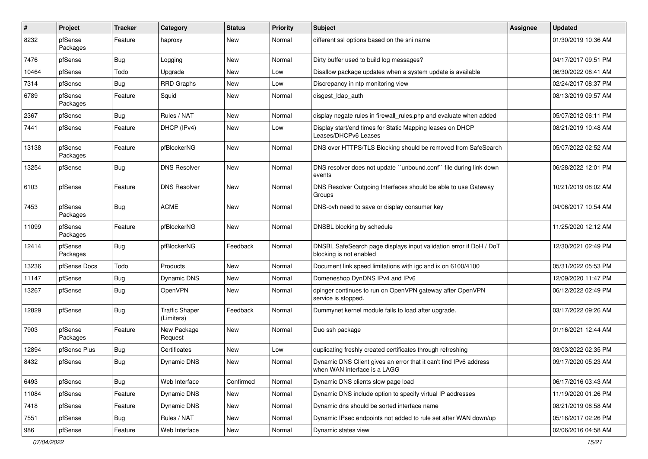| #     | Project             | <b>Tracker</b> | Category                            | <b>Status</b> | <b>Priority</b> | Subject                                                                                           | <b>Assignee</b> | <b>Updated</b>      |
|-------|---------------------|----------------|-------------------------------------|---------------|-----------------|---------------------------------------------------------------------------------------------------|-----------------|---------------------|
| 8232  | pfSense<br>Packages | Feature        | haproxy                             | New           | Normal          | different ssl options based on the sni name                                                       |                 | 01/30/2019 10:36 AM |
| 7476  | pfSense             | Bug            | Logging                             | New           | Normal          | Dirty buffer used to build log messages?                                                          |                 | 04/17/2017 09:51 PM |
| 10464 | pfSense             | Todo           | Upgrade                             | New           | Low             | Disallow package updates when a system update is available                                        |                 | 06/30/2022 08:41 AM |
| 7314  | pfSense             | <b>Bug</b>     | <b>RRD Graphs</b>                   | <b>New</b>    | Low             | Discrepancy in ntp monitoring view                                                                |                 | 02/24/2017 08:37 PM |
| 6789  | pfSense<br>Packages | Feature        | Squid                               | New           | Normal          | disgest_ldap_auth                                                                                 |                 | 08/13/2019 09:57 AM |
| 2367  | pfSense             | Bug            | Rules / NAT                         | <b>New</b>    | Normal          | display negate rules in firewall_rules.php and evaluate when added                                |                 | 05/07/2012 06:11 PM |
| 7441  | pfSense             | Feature        | DHCP (IPv4)                         | <b>New</b>    | Low             | Display start/end times for Static Mapping leases on DHCP<br>Leases/DHCPv6 Leases                 |                 | 08/21/2019 10:48 AM |
| 13138 | pfSense<br>Packages | Feature        | pfBlockerNG                         | <b>New</b>    | Normal          | DNS over HTTPS/TLS Blocking should be removed from SafeSearch                                     |                 | 05/07/2022 02:52 AM |
| 13254 | pfSense             | <b>Bug</b>     | <b>DNS Resolver</b>                 | <b>New</b>    | Normal          | DNS resolver does not update "unbound.conf" file during link down<br>events                       |                 | 06/28/2022 12:01 PM |
| 6103  | pfSense             | Feature        | <b>DNS Resolver</b>                 | <b>New</b>    | Normal          | DNS Resolver Outgoing Interfaces should be able to use Gateway<br>Groups                          |                 | 10/21/2019 08:02 AM |
| 7453  | pfSense<br>Packages | <b>Bug</b>     | <b>ACME</b>                         | <b>New</b>    | Normal          | DNS-ovh need to save or display consumer key                                                      |                 | 04/06/2017 10:54 AM |
| 11099 | pfSense<br>Packages | Feature        | pfBlockerNG                         | <b>New</b>    | Normal          | DNSBL blocking by schedule                                                                        |                 | 11/25/2020 12:12 AM |
| 12414 | pfSense<br>Packages | <b>Bug</b>     | pfBlockerNG                         | Feedback      | Normal          | DNSBL SafeSearch page displays input validation error if DoH / DoT<br>blocking is not enabled     |                 | 12/30/2021 02:49 PM |
| 13236 | pfSense Docs        | Todo           | Products                            | <b>New</b>    | Normal          | Document link speed limitations with igc and ix on 6100/4100                                      |                 | 05/31/2022 05:53 PM |
| 11147 | pfSense             | <b>Bug</b>     | Dynamic DNS                         | <b>New</b>    | Normal          | Domeneshop DynDNS IPv4 and IPv6                                                                   |                 | 12/09/2020 11:47 PM |
| 13267 | pfSense             | Bug            | OpenVPN                             | New           | Normal          | dpinger continues to run on OpenVPN gateway after OpenVPN<br>service is stopped.                  |                 | 06/12/2022 02:49 PM |
| 12829 | pfSense             | <b>Bug</b>     | <b>Traffic Shaper</b><br>(Limiters) | Feedback      | Normal          | Dummynet kernel module fails to load after upgrade.                                               |                 | 03/17/2022 09:26 AM |
| 7903  | pfSense<br>Packages | Feature        | New Package<br>Request              | <b>New</b>    | Normal          | Duo ssh package                                                                                   |                 | 01/16/2021 12:44 AM |
| 12894 | pfSense Plus        | Bug            | Certificates                        | <b>New</b>    | Low             | duplicating freshly created certificates through refreshing                                       |                 | 03/03/2022 02:35 PM |
| 8432  | pfSense             | Bug            | Dynamic DNS                         | New           | Normal          | Dynamic DNS Client gives an error that it can't find IPv6 address<br>when WAN interface is a LAGG |                 | 09/17/2020 05:23 AM |
| 6493  | pfSense             | <b>Bug</b>     | Web Interface                       | Confirmed     | Normal          | Dynamic DNS clients slow page load                                                                |                 | 06/17/2016 03:43 AM |
| 11084 | pfSense             | Feature        | Dynamic DNS                         | New           | Normal          | Dynamic DNS include option to specify virtual IP addresses                                        |                 | 11/19/2020 01:26 PM |
| 7418  | pfSense             | Feature        | Dynamic DNS                         | New           | Normal          | Dynamic dns should be sorted interface name                                                       |                 | 08/21/2019 08:58 AM |
| 7551  | pfSense             | <b>Bug</b>     | Rules / NAT                         | New           | Normal          | Dynamic IPsec endpoints not added to rule set after WAN down/up                                   |                 | 05/16/2017 02:26 PM |
| 986   | pfSense             | Feature        | Web Interface                       | New           | Normal          | Dynamic states view                                                                               |                 | 02/06/2016 04:58 AM |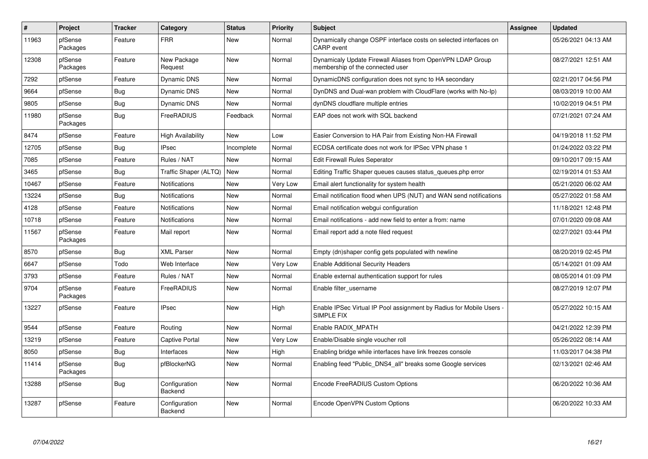| $\vert$ # | Project             | <b>Tracker</b> | Category                 | <b>Status</b> | <b>Priority</b> | <b>Subject</b>                                                                                 | <b>Assignee</b> | <b>Updated</b>      |
|-----------|---------------------|----------------|--------------------------|---------------|-----------------|------------------------------------------------------------------------------------------------|-----------------|---------------------|
| 11963     | pfSense<br>Packages | Feature        | <b>FRR</b>               | <b>New</b>    | Normal          | Dynamically change OSPF interface costs on selected interfaces on<br><b>CARP</b> event         |                 | 05/26/2021 04:13 AM |
| 12308     | pfSense<br>Packages | Feature        | New Package<br>Request   | New           | Normal          | Dynamicaly Update Firewall Aliases from OpenVPN LDAP Group<br>membership of the connected user |                 | 08/27/2021 12:51 AM |
| 7292      | pfSense             | Feature        | Dynamic DNS              | <b>New</b>    | Normal          | DynamicDNS configuration does not sync to HA secondary                                         |                 | 02/21/2017 04:56 PM |
| 9664      | pfSense             | Bug            | Dynamic DNS              | <b>New</b>    | Normal          | DynDNS and Dual-wan problem with CloudFlare (works with No-Ip)                                 |                 | 08/03/2019 10:00 AM |
| 9805      | pfSense             | <b>Bug</b>     | <b>Dynamic DNS</b>       | <b>New</b>    | Normal          | dynDNS cloudflare multiple entries                                                             |                 | 10/02/2019 04:51 PM |
| 11980     | pfSense<br>Packages | Bug            | FreeRADIUS               | Feedback      | Normal          | EAP does not work with SQL backend                                                             |                 | 07/21/2021 07:24 AM |
| 8474      | pfSense             | Feature        | <b>High Availability</b> | <b>New</b>    | Low             | Easier Conversion to HA Pair from Existing Non-HA Firewall                                     |                 | 04/19/2018 11:52 PM |
| 12705     | pfSense             | <b>Bug</b>     | <b>IPsec</b>             | Incomplete    | Normal          | ECDSA certificate does not work for IPSec VPN phase 1                                          |                 | 01/24/2022 03:22 PM |
| 7085      | pfSense             | Feature        | Rules / NAT              | <b>New</b>    | Normal          | <b>Edit Firewall Rules Seperator</b>                                                           |                 | 09/10/2017 09:15 AM |
| 3465      | pfSense             | <b>Bug</b>     | Traffic Shaper (ALTQ)    | <b>New</b>    | Normal          | Editing Traffic Shaper queues causes status queues.php error                                   |                 | 02/19/2014 01:53 AM |
| 10467     | pfSense             | Feature        | <b>Notifications</b>     | New           | Very Low        | Email alert functionality for system health                                                    |                 | 05/21/2020 06:02 AM |
| 13224     | pfSense             | <b>Bug</b>     | Notifications            | <b>New</b>    | Normal          | Email notification flood when UPS (NUT) and WAN send notifications                             |                 | 05/27/2022 01:58 AM |
| 4128      | pfSense             | Feature        | Notifications            | New           | Normal          | Email notification webgui configuration                                                        |                 | 11/18/2021 12:48 PM |
| 10718     | pfSense             | Feature        | <b>Notifications</b>     | New           | Normal          | Email notifications - add new field to enter a from: name                                      |                 | 07/01/2020 09:08 AM |
| 11567     | pfSense<br>Packages | Feature        | Mail report              | <b>New</b>    | Normal          | Email report add a note filed request                                                          |                 | 02/27/2021 03:44 PM |
| 8570      | pfSense             | Bug            | <b>XML Parser</b>        | <b>New</b>    | Normal          | Empty (dn)shaper config gets populated with newline                                            |                 | 08/20/2019 02:45 PM |
| 6647      | pfSense             | Todo           | Web Interface            | New           | Very Low        | <b>Enable Additional Security Headers</b>                                                      |                 | 05/14/2021 01:09 AM |
| 3793      | pfSense             | Feature        | Rules / NAT              | <b>New</b>    | Normal          | Enable external authentication support for rules                                               |                 | 08/05/2014 01:09 PM |
| 9704      | pfSense<br>Packages | Feature        | FreeRADIUS               | New           | Normal          | Enable filter username                                                                         |                 | 08/27/2019 12:07 PM |
| 13227     | pfSense             | Feature        | <b>IPsec</b>             | <b>New</b>    | High            | Enable IPSec Virtual IP Pool assignment by Radius for Mobile Users -<br><b>SIMPLE FIX</b>      |                 | 05/27/2022 10:15 AM |
| 9544      | pfSense             | Feature        | Routing                  | <b>New</b>    | Normal          | Enable RADIX_MPATH                                                                             |                 | 04/21/2022 12:39 PM |
| 13219     | pfSense             | Feature        | <b>Captive Portal</b>    | New           | Very Low        | Enable/Disable single voucher roll                                                             |                 | 05/26/2022 08:14 AM |
| 8050      | pfSense             | <b>Bug</b>     | Interfaces               | <b>New</b>    | High            | Enabling bridge while interfaces have link freezes console                                     |                 | 11/03/2017 04:38 PM |
| 11414     | pfSense<br>Packages | <b>Bug</b>     | pfBlockerNG              | New           | Normal          | Enabling feed "Public_DNS4_all" breaks some Google services                                    |                 | 02/13/2021 02:46 AM |
| 13288     | pfSense             | <b>Bug</b>     | Configuration<br>Backend | New           | Normal          | Encode FreeRADIUS Custom Options                                                               |                 | 06/20/2022 10:36 AM |
| 13287     | pfSense             | Feature        | Configuration<br>Backend | <b>New</b>    | Normal          | Encode OpenVPN Custom Options                                                                  |                 | 06/20/2022 10:33 AM |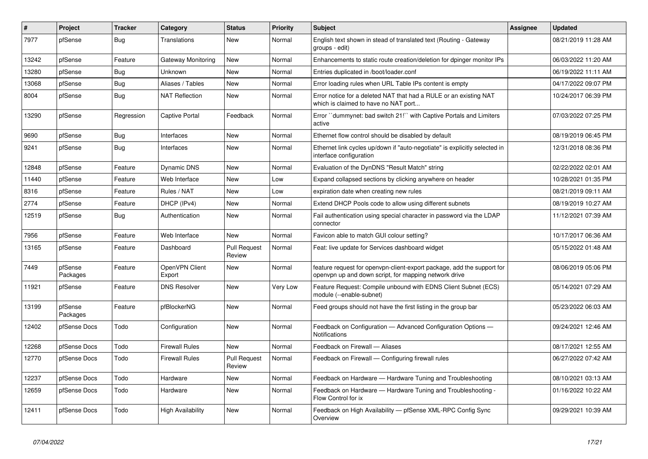| #     | <b>Project</b>      | <b>Tracker</b> | Category                 | <b>Status</b>                 | <b>Priority</b> | <b>Subject</b>                                                                                                                  | Assignee | <b>Updated</b>      |
|-------|---------------------|----------------|--------------------------|-------------------------------|-----------------|---------------------------------------------------------------------------------------------------------------------------------|----------|---------------------|
| 7977  | pfSense             | <b>Bug</b>     | Translations             | New                           | Normal          | English text shown in stead of translated text (Routing - Gateway<br>groups - edit)                                             |          | 08/21/2019 11:28 AM |
| 13242 | pfSense             | Feature        | Gateway Monitoring       | <b>New</b>                    | Normal          | Enhancements to static route creation/deletion for dpinger monitor IPs                                                          |          | 06/03/2022 11:20 AM |
| 13280 | pfSense             | <b>Bug</b>     | Unknown                  | New                           | Normal          | Entries duplicated in /boot/loader.conf                                                                                         |          | 06/19/2022 11:11 AM |
| 13068 | pfSense             | <b>Bug</b>     | Aliases / Tables         | New                           | Normal          | Error loading rules when URL Table IPs content is empty                                                                         |          | 04/17/2022 09:07 PM |
| 8004  | pfSense             | Bug            | NAT Reflection           | New                           | Normal          | Error notice for a deleted NAT that had a RULE or an existing NAT<br>which is claimed to have no NAT port                       |          | 10/24/2017 06:39 PM |
| 13290 | pfSense             | Regression     | Captive Portal           | Feedback                      | Normal          | Error "dummynet: bad switch 21!" with Captive Portals and Limiters<br>active                                                    |          | 07/03/2022 07:25 PM |
| 9690  | pfSense             | Bug            | Interfaces               | <b>New</b>                    | Normal          | Ethernet flow control should be disabled by default                                                                             |          | 08/19/2019 06:45 PM |
| 9241  | pfSense             | Bug            | Interfaces               | New                           | Normal          | Ethernet link cycles up/down if "auto-negotiate" is explicitly selected in<br>interface configuration                           |          | 12/31/2018 08:36 PM |
| 12848 | pfSense             | Feature        | Dynamic DNS              | <b>New</b>                    | Normal          | Evaluation of the DynDNS "Result Match" string                                                                                  |          | 02/22/2022 02:01 AM |
| 11440 | pfSense             | Feature        | Web Interface            | New                           | Low             | Expand collapsed sections by clicking anywhere on header                                                                        |          | 10/28/2021 01:35 PM |
| 8316  | pfSense             | Feature        | Rules / NAT              | <b>New</b>                    | Low             | expiration date when creating new rules                                                                                         |          | 08/21/2019 09:11 AM |
| 2774  | pfSense             | Feature        | DHCP (IPv4)              | New                           | Normal          | Extend DHCP Pools code to allow using different subnets                                                                         |          | 08/19/2019 10:27 AM |
| 12519 | pfSense             | Bug            | Authentication           | New                           | Normal          | Fail authentication using special character in password via the LDAP<br>connector                                               |          | 11/12/2021 07:39 AM |
| 7956  | pfSense             | Feature        | Web Interface            | <b>New</b>                    | Normal          | Favicon able to match GUI colour setting?                                                                                       |          | 10/17/2017 06:36 AM |
| 13165 | pfSense             | Feature        | Dashboard                | <b>Pull Request</b><br>Review | Normal          | Feat: live update for Services dashboard widget                                                                                 |          | 05/15/2022 01:48 AM |
| 7449  | pfSense<br>Packages | Feature        | OpenVPN Client<br>Export | <b>New</b>                    | Normal          | feature request for openvpn-client-export package, add the support for<br>openvpn up and down script, for mapping network drive |          | 08/06/2019 05:06 PM |
| 11921 | pfSense             | Feature        | <b>DNS Resolver</b>      | New                           | Very Low        | Feature Request: Compile unbound with EDNS Client Subnet (ECS)<br>module (--enable-subnet)                                      |          | 05/14/2021 07:29 AM |
| 13199 | pfSense<br>Packages | Feature        | pfBlockerNG              | New                           | Normal          | Feed groups should not have the first listing in the group bar                                                                  |          | 05/23/2022 06:03 AM |
| 12402 | pfSense Docs        | Todo           | Configuration            | <b>New</b>                    | Normal          | Feedback on Configuration - Advanced Configuration Options -<br>Notifications                                                   |          | 09/24/2021 12:46 AM |
| 12268 | pfSense Docs        | Todo           | <b>Firewall Rules</b>    | <b>New</b>                    | Normal          | Feedback on Firewall - Aliases                                                                                                  |          | 08/17/2021 12:55 AM |
| 12770 | pfSense Docs        | Todo           | <b>Firewall Rules</b>    | <b>Pull Request</b><br>Review | Normal          | Feedback on Firewall - Configuring firewall rules                                                                               |          | 06/27/2022 07:42 AM |
| 12237 | pfSense Docs        | Todo           | Hardware                 | New                           | Normal          | Feedback on Hardware - Hardware Tuning and Troubleshooting                                                                      |          | 08/10/2021 03:13 AM |
| 12659 | pfSense Docs        | Todo           | Hardware                 | New                           | Normal          | Feedback on Hardware - Hardware Tuning and Troubleshooting -<br>Flow Control for ix                                             |          | 01/16/2022 10:22 AM |
| 12411 | pfSense Docs        | Todo           | High Availability        | <b>New</b>                    | Normal          | Feedback on High Availability - pfSense XML-RPC Config Sync<br>Overview                                                         |          | 09/29/2021 10:39 AM |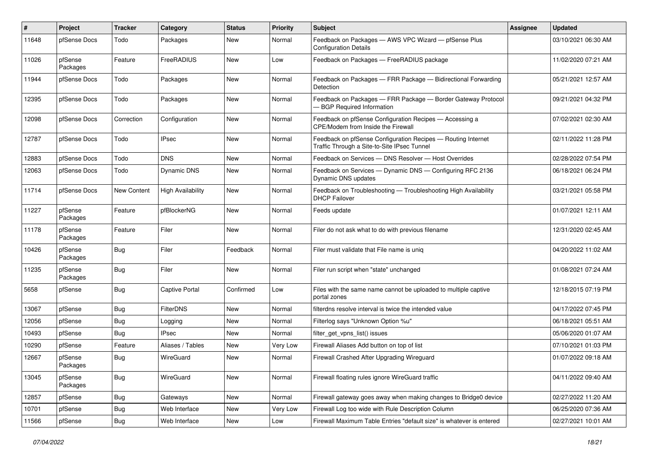| ∦     | Project             | <b>Tracker</b> | Category                 | <b>Status</b> | <b>Priority</b> | <b>Subject</b>                                                                                              | <b>Assignee</b> | <b>Updated</b>      |
|-------|---------------------|----------------|--------------------------|---------------|-----------------|-------------------------------------------------------------------------------------------------------------|-----------------|---------------------|
| 11648 | pfSense Docs        | Todo           | Packages                 | New           | Normal          | Feedback on Packages - AWS VPC Wizard - pfSense Plus<br><b>Configuration Details</b>                        |                 | 03/10/2021 06:30 AM |
| 11026 | pfSense<br>Packages | Feature        | FreeRADIUS               | <b>New</b>    | Low             | Feedback on Packages - FreeRADIUS package                                                                   |                 | 11/02/2020 07:21 AM |
| 11944 | pfSense Docs        | Todo           | Packages                 | New           | Normal          | Feedback on Packages - FRR Package - Bidirectional Forwarding<br>Detection                                  |                 | 05/21/2021 12:57 AM |
| 12395 | pfSense Docs        | Todo           | Packages                 | <b>New</b>    | Normal          | Feedback on Packages - FRR Package - Border Gateway Protocol<br>- BGP Required Information                  |                 | 09/21/2021 04:32 PM |
| 12098 | pfSense Docs        | Correction     | Configuration            | <b>New</b>    | Normal          | Feedback on pfSense Configuration Recipes - Accessing a<br>CPE/Modem from Inside the Firewall               |                 | 07/02/2021 02:30 AM |
| 12787 | pfSense Docs        | Todo           | <b>IPsec</b>             | <b>New</b>    | Normal          | Feedback on pfSense Configuration Recipes - Routing Internet<br>Traffic Through a Site-to-Site IPsec Tunnel |                 | 02/11/2022 11:28 PM |
| 12883 | pfSense Docs        | Todo           | <b>DNS</b>               | <b>New</b>    | Normal          | Feedback on Services - DNS Resolver - Host Overrides                                                        |                 | 02/28/2022 07:54 PM |
| 12063 | pfSense Docs        | Todo           | Dynamic DNS              | New           | Normal          | Feedback on Services — Dynamic DNS — Configuring RFC 2136<br>Dynamic DNS updates                            |                 | 06/18/2021 06:24 PM |
| 11714 | pfSense Docs        | New Content    | <b>High Availability</b> | New           | Normal          | Feedback on Troubleshooting - Troubleshooting High Availability<br><b>DHCP Failover</b>                     |                 | 03/21/2021 05:58 PM |
| 11227 | pfSense<br>Packages | Feature        | pfBlockerNG              | <b>New</b>    | Normal          | Feeds update                                                                                                |                 | 01/07/2021 12:11 AM |
| 11178 | pfSense<br>Packages | Feature        | Filer                    | <b>New</b>    | Normal          | Filer do not ask what to do with previous filename                                                          |                 | 12/31/2020 02:45 AM |
| 10426 | pfSense<br>Packages | Bug            | Filer                    | Feedback      | Normal          | Filer must validate that File name is uniq                                                                  |                 | 04/20/2022 11:02 AM |
| 11235 | pfSense<br>Packages | <b>Bug</b>     | Filer                    | <b>New</b>    | Normal          | Filer run script when "state" unchanged                                                                     |                 | 01/08/2021 07:24 AM |
| 5658  | pfSense             | <b>Bug</b>     | <b>Captive Portal</b>    | Confirmed     | Low             | Files with the same name cannot be uploaded to multiple captive<br>portal zones                             |                 | 12/18/2015 07:19 PM |
| 13067 | pfSense             | Bug            | <b>FilterDNS</b>         | <b>New</b>    | Normal          | filterdns resolve interval is twice the intended value                                                      |                 | 04/17/2022 07:45 PM |
| 12056 | pfSense             | Bug            | Logging                  | New           | Normal          | Filterlog says "Unknown Option %u"                                                                          |                 | 06/18/2021 05:51 AM |
| 10493 | pfSense             | Bug            | <b>IPsec</b>             | New           | Normal          | filter_get_vpns_list() issues                                                                               |                 | 05/06/2020 01:07 AM |
| 10290 | pfSense             | Feature        | Aliases / Tables         | New           | Very Low        | Firewall Aliases Add button on top of list                                                                  |                 | 07/10/2021 01:03 PM |
| 12667 | pfSense<br>Packages | <b>Bug</b>     | WireGuard                | <b>New</b>    | Normal          | Firewall Crashed After Upgrading Wireguard                                                                  |                 | 01/07/2022 09:18 AM |
| 13045 | pfSense<br>Packages | <b>Bug</b>     | WireGuard                | New           | Normal          | Firewall floating rules ignore WireGuard traffic                                                            |                 | 04/11/2022 09:40 AM |
| 12857 | pfSense             | <b>Bug</b>     | Gateways                 | <b>New</b>    | Normal          | Firewall gateway goes away when making changes to Bridge0 device                                            |                 | 02/27/2022 11:20 AM |
| 10701 | pfSense             | Bug            | Web Interface            | New           | Very Low        | Firewall Log too wide with Rule Description Column                                                          |                 | 06/25/2020 07:36 AM |
| 11566 | pfSense             | <b>Bug</b>     | Web Interface            | New           | Low             | Firewall Maximum Table Entries "default size" is whatever is entered                                        |                 | 02/27/2021 10:01 AM |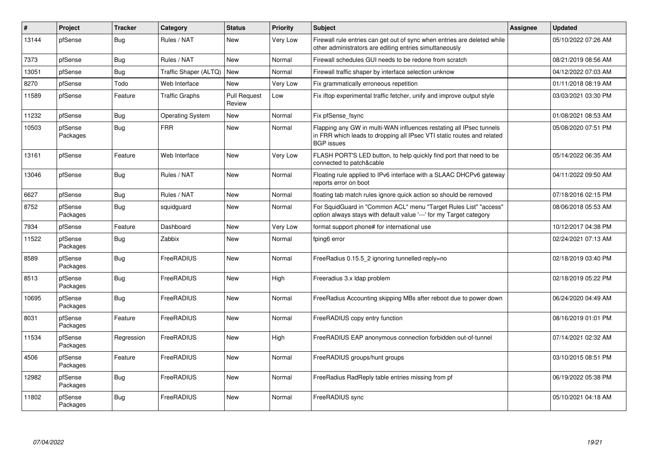| $\vert$ # | Project             | <b>Tracker</b> | Category                | <b>Status</b>                 | <b>Priority</b> | <b>Subject</b>                                                                                                                                                     | Assignee | <b>Updated</b>      |
|-----------|---------------------|----------------|-------------------------|-------------------------------|-----------------|--------------------------------------------------------------------------------------------------------------------------------------------------------------------|----------|---------------------|
| 13144     | pfSense             | <b>Bug</b>     | Rules / NAT             | <b>New</b>                    | Very Low        | Firewall rule entries can get out of sync when entries are deleted while<br>other administrators are editing entries simultaneously                                |          | 05/10/2022 07:26 AM |
| 7373      | pfSense             | <b>Bug</b>     | Rules / NAT             | <b>New</b>                    | Normal          | Firewall schedules GUI needs to be redone from scratch                                                                                                             |          | 08/21/2019 08:56 AM |
| 13051     | pfSense             | <b>Bug</b>     | Traffic Shaper (ALTQ)   | New                           | Normal          | Firewall traffic shaper by interface selection unknow                                                                                                              |          | 04/12/2022 07:03 AM |
| 8270      | pfSense             | Todo           | Web Interface           | <b>New</b>                    | Very Low        | Fix grammatically erroneous repetition                                                                                                                             |          | 01/11/2018 08:19 AM |
| 11589     | pfSense             | Feature        | <b>Traffic Graphs</b>   | <b>Pull Request</b><br>Review | Low             | Fix iftop experimental traffic fetcher, unify and improve output style                                                                                             |          | 03/03/2021 03:30 PM |
| 11232     | pfSense             | Bug            | <b>Operating System</b> | New                           | Normal          | Fix pfSense fsync                                                                                                                                                  |          | 01/08/2021 08:53 AM |
| 10503     | pfSense<br>Packages | Bug            | <b>FRR</b>              | <b>New</b>                    | Normal          | Flapping any GW in multi-WAN influences restating all IPsec tunnels<br>in FRR which leads to dropping all IPsec VTI static routes and related<br><b>BGP</b> issues |          | 05/08/2020 07:51 PM |
| 13161     | pfSense             | Feature        | Web Interface           | New                           | Very Low        | FLASH PORT'S LED button, to help quickly find port that need to be<br>connected to patch&cable                                                                     |          | 05/14/2022 06:35 AM |
| 13046     | pfSense             | <b>Bug</b>     | Rules / NAT             | <b>New</b>                    | Normal          | Floating rule applied to IPv6 interface with a SLAAC DHCPv6 gateway<br>reports error on boot                                                                       |          | 04/11/2022 09:50 AM |
| 6627      | pfSense             | Bug            | Rules / NAT             | New                           | Normal          | floating tab match rules ignore quick action so should be removed                                                                                                  |          | 07/18/2016 02:15 PM |
| 8752      | pfSense<br>Packages | Bug            | squidguard              | New                           | Normal          | For SquidGuard in "Common ACL" menu "Target Rules List" "access"<br>option always stays with default value '---' for my Target category                            |          | 08/06/2018 05:53 AM |
| 7934      | pfSense             | Feature        | Dashboard               | New                           | Very Low        | format support phone# for international use                                                                                                                        |          | 10/12/2017 04:38 PM |
| 11522     | pfSense<br>Packages | <b>Bug</b>     | Zabbix                  | <b>New</b>                    | Normal          | fping6 error                                                                                                                                                       |          | 02/24/2021 07:13 AM |
| 8589      | pfSense<br>Packages | <b>Bug</b>     | FreeRADIUS              | <b>New</b>                    | Normal          | FreeRadius 0.15.5_2 ignoring tunnelled-reply=no                                                                                                                    |          | 02/18/2019 03:40 PM |
| 8513      | pfSense<br>Packages | Bug            | FreeRADIUS              | New                           | High            | Freeradius 3.x Idap problem                                                                                                                                        |          | 02/18/2019 05:22 PM |
| 10695     | pfSense<br>Packages | Bug            | FreeRADIUS              | <b>New</b>                    | Normal          | FreeRadius Accounting skipping MBs after reboot due to power down                                                                                                  |          | 06/24/2020 04:49 AM |
| 8031      | pfSense<br>Packages | Feature        | FreeRADIUS              | <b>New</b>                    | Normal          | FreeRADIUS copy entry function                                                                                                                                     |          | 08/16/2019 01:01 PM |
| 11534     | pfSense<br>Packages | Regression     | FreeRADIUS              | <b>New</b>                    | High            | FreeRADIUS EAP anonymous connection forbidden out-of-tunnel                                                                                                        |          | 07/14/2021 02:32 AM |
| 4506      | pfSense<br>Packages | Feature        | FreeRADIUS              | <b>New</b>                    | Normal          | FreeRADIUS groups/hunt groups                                                                                                                                      |          | 03/10/2015 08:51 PM |
| 12982     | pfSense<br>Packages | Bug            | FreeRADIUS              | <b>New</b>                    | Normal          | FreeRadius RadReply table entries missing from pf                                                                                                                  |          | 06/19/2022 05:38 PM |
| 11802     | pfSense<br>Packages | Bug            | FreeRADIUS              | <b>New</b>                    | Normal          | FreeRADIUS sync                                                                                                                                                    |          | 05/10/2021 04:18 AM |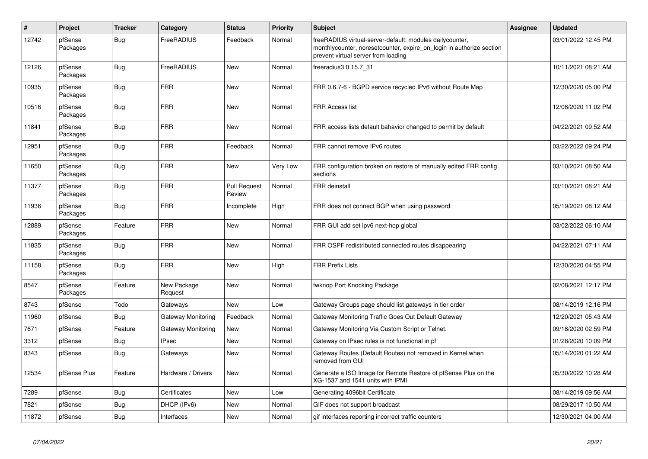| $\vert$ # | Project             | <b>Tracker</b> | Category                  | <b>Status</b>                 | <b>Priority</b> | <b>Subject</b>                                                                                                                                                          | Assignee | <b>Updated</b>      |
|-----------|---------------------|----------------|---------------------------|-------------------------------|-----------------|-------------------------------------------------------------------------------------------------------------------------------------------------------------------------|----------|---------------------|
| 12742     | pfSense<br>Packages | Bug            | FreeRADIUS                | Feedback                      | Normal          | freeRADIUS virtual-server-default: modules dailycounter,<br>monthlycounter, noresetcounter, expire_on_login in authorize section<br>prevent virtual server from loading |          | 03/01/2022 12:45 PM |
| 12126     | pfSense<br>Packages | Bug            | FreeRADIUS                | <b>New</b>                    | Normal          | freeradius3 0.15.7_31                                                                                                                                                   |          | 10/11/2021 08:21 AM |
| 10935     | pfSense<br>Packages | Bug            | <b>FRR</b>                | New                           | Normal          | FRR 0.6.7-6 - BGPD service recycled IPv6 without Route Map                                                                                                              |          | 12/30/2020 05:00 PM |
| 10516     | pfSense<br>Packages | Bug            | <b>FRR</b>                | <b>New</b>                    | Normal          | <b>FRR Access list</b>                                                                                                                                                  |          | 12/06/2020 11:02 PM |
| 11841     | pfSense<br>Packages | <b>Bug</b>     | <b>FRR</b>                | <b>New</b>                    | Normal          | FRR access lists default bahavior changed to permit by default                                                                                                          |          | 04/22/2021 09:52 AM |
| 12951     | pfSense<br>Packages | <b>Bug</b>     | <b>FRR</b>                | Feedback                      | Normal          | FRR cannot remove IPv6 routes                                                                                                                                           |          | 03/22/2022 09:24 PM |
| 11650     | pfSense<br>Packages | Bug            | <b>FRR</b>                | New                           | Very Low        | FRR configuration broken on restore of manually edited FRR config<br>sections                                                                                           |          | 03/10/2021 08:50 AM |
| 11377     | pfSense<br>Packages | Bug            | <b>FRR</b>                | <b>Pull Request</b><br>Review | Normal          | FRR deinstall                                                                                                                                                           |          | 03/10/2021 08:21 AM |
| 11936     | pfSense<br>Packages | Bug            | <b>FRR</b>                | Incomplete                    | High            | FRR does not connect BGP when using password                                                                                                                            |          | 05/19/2021 08:12 AM |
| 12889     | pfSense<br>Packages | Feature        | <b>FRR</b>                | <b>New</b>                    | Normal          | FRR GUI add set ipv6 next-hop global                                                                                                                                    |          | 03/02/2022 06:10 AM |
| 11835     | pfSense<br>Packages | Bug            | <b>FRR</b>                | New                           | Normal          | FRR OSPF redistributed connected routes disappearing                                                                                                                    |          | 04/22/2021 07:11 AM |
| 11158     | pfSense<br>Packages | <b>Bug</b>     | <b>FRR</b>                | New                           | High            | <b>FRR Prefix Lists</b>                                                                                                                                                 |          | 12/30/2020 04:55 PM |
| 8547      | pfSense<br>Packages | Feature        | New Package<br>Request    | <b>New</b>                    | Normal          | fwknop Port Knocking Package                                                                                                                                            |          | 02/08/2021 12:17 PM |
| 8743      | pfSense             | Todo           | Gateways                  | <b>New</b>                    | Low             | Gateway Groups page should list gateways in tier order                                                                                                                  |          | 08/14/2019 12:16 PM |
| 11960     | pfSense             | Bug            | Gateway Monitoring        | Feedback                      | Normal          | Gateway Monitoring Traffic Goes Out Default Gateway                                                                                                                     |          | 12/20/2021 05:43 AM |
| 7671      | pfSense             | Feature        | <b>Gateway Monitoring</b> | <b>New</b>                    | Normal          | Gateway Monitoring Via Custom Script or Telnet.                                                                                                                         |          | 09/18/2020 02:59 PM |
| 3312      | pfSense             | Bug            | <b>IPsec</b>              | <b>New</b>                    | Normal          | Gateway on IPsec rules is not functional in pf                                                                                                                          |          | 01/28/2020 10:09 PM |
| 8343      | pfSense             | <b>Bug</b>     | Gateways                  | <b>New</b>                    | Normal          | Gateway Routes (Default Routes) not removed in Kernel when<br>removed from GUI                                                                                          |          | 05/14/2020 01:22 AM |
| 12534     | pfSense Plus        | Feature        | Hardware / Drivers        | <b>New</b>                    | Normal          | Generate a ISO Image for Remote Restore of pfSense Plus on the<br>XG-1537 and 1541 units with IPMI                                                                      |          | 05/30/2022 10:28 AM |
| 7289      | pfSense             | Bug            | Certificates              | New                           | Low             | Generating 4096bit Certificate                                                                                                                                          |          | 08/14/2019 09:56 AM |
| 7821      | pfSense             | Bug            | DHCP (IPv6)               | New                           | Normal          | GIF does not support broadcast                                                                                                                                          |          | 08/29/2017 10:50 AM |
| 11872     | pfSense             | Bug            | Interfaces                | <b>New</b>                    | Normal          | gif interfaces reporting incorrect traffic counters                                                                                                                     |          | 12/30/2021 04:00 AM |